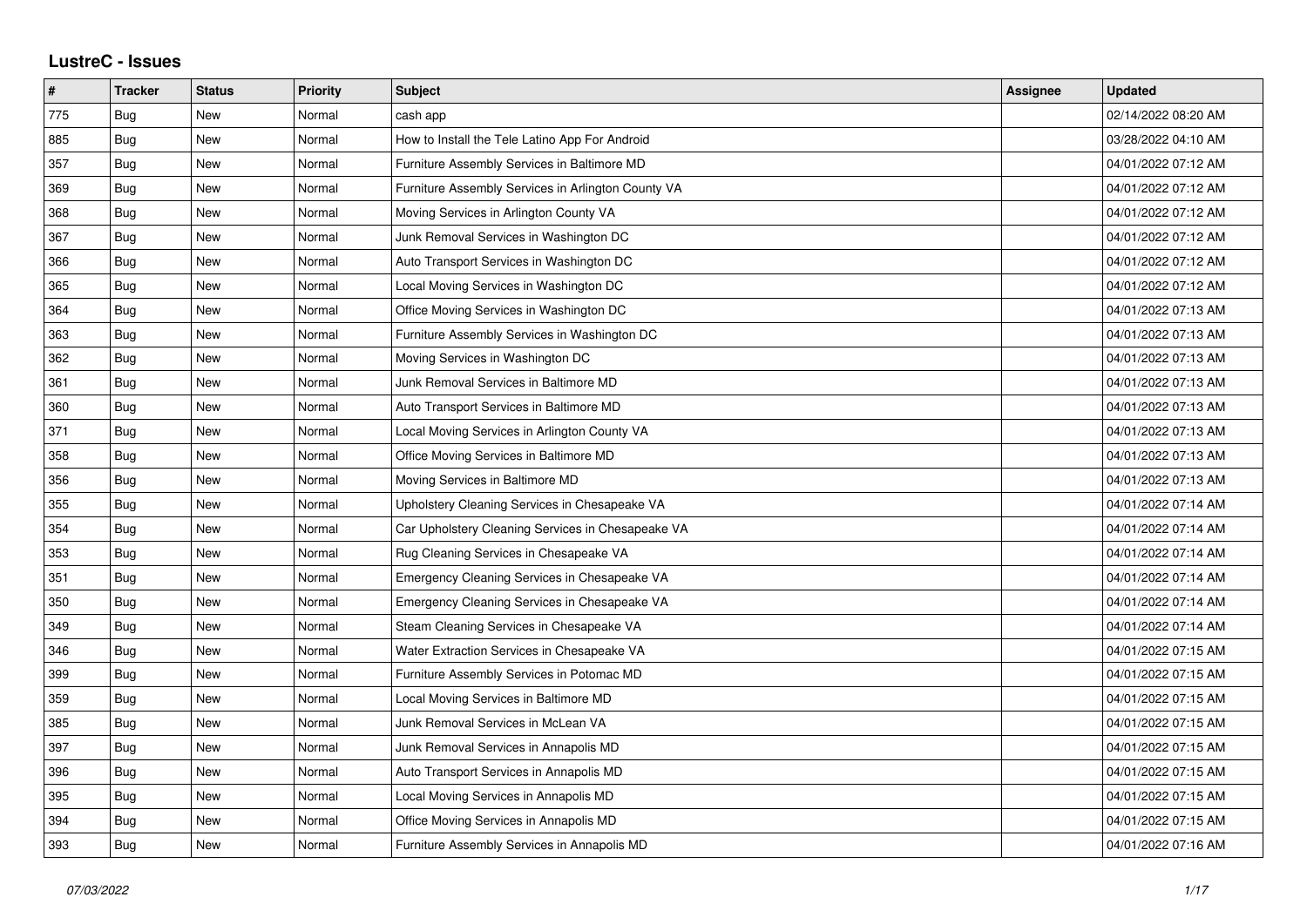## **LustreC - Issues**

| #   | <b>Tracker</b> | <b>Status</b> | <b>Priority</b> | <b>Subject</b>                                     | Assignee | <b>Updated</b>      |
|-----|----------------|---------------|-----------------|----------------------------------------------------|----------|---------------------|
| 775 | Bug            | New           | Normal          | cash app                                           |          | 02/14/2022 08:20 AM |
| 885 | Bug            | <b>New</b>    | Normal          | How to Install the Tele Latino App For Android     |          | 03/28/2022 04:10 AM |
| 357 | Bug            | <b>New</b>    | Normal          | Furniture Assembly Services in Baltimore MD        |          | 04/01/2022 07:12 AM |
| 369 | <b>Bug</b>     | New           | Normal          | Furniture Assembly Services in Arlington County VA |          | 04/01/2022 07:12 AM |
| 368 | Bug            | New           | Normal          | Moving Services in Arlington County VA             |          | 04/01/2022 07:12 AM |
| 367 | Bug            | <b>New</b>    | Normal          | Junk Removal Services in Washington DC             |          | 04/01/2022 07:12 AM |
| 366 | <b>Bug</b>     | New           | Normal          | Auto Transport Services in Washington DC           |          | 04/01/2022 07:12 AM |
| 365 | Bug            | <b>New</b>    | Normal          | Local Moving Services in Washington DC             |          | 04/01/2022 07:12 AM |
| 364 | <b>Bug</b>     | New           | Normal          | Office Moving Services in Washington DC            |          | 04/01/2022 07:13 AM |
| 363 | Bug            | <b>New</b>    | Normal          | Furniture Assembly Services in Washington DC       |          | 04/01/2022 07:13 AM |
| 362 | Bug            | <b>New</b>    | Normal          | Moving Services in Washington DC                   |          | 04/01/2022 07:13 AM |
| 361 | <b>Bug</b>     | New           | Normal          | Junk Removal Services in Baltimore MD              |          | 04/01/2022 07:13 AM |
| 360 | Bug            | <b>New</b>    | Normal          | Auto Transport Services in Baltimore MD            |          | 04/01/2022 07:13 AM |
| 371 | Bug            | <b>New</b>    | Normal          | Local Moving Services in Arlington County VA       |          | 04/01/2022 07:13 AM |
| 358 | Bug            | New           | Normal          | Office Moving Services in Baltimore MD             |          | 04/01/2022 07:13 AM |
| 356 | <b>Bug</b>     | New           | Normal          | Moving Services in Baltimore MD                    |          | 04/01/2022 07:13 AM |
| 355 | Bug            | New           | Normal          | Upholstery Cleaning Services in Chesapeake VA      |          | 04/01/2022 07:14 AM |
| 354 | Bug            | <b>New</b>    | Normal          | Car Upholstery Cleaning Services in Chesapeake VA  |          | 04/01/2022 07:14 AM |
| 353 | Bug            | <b>New</b>    | Normal          | Rug Cleaning Services in Chesapeake VA             |          | 04/01/2022 07:14 AM |
| 351 | <b>Bug</b>     | New           | Normal          | Emergency Cleaning Services in Chesapeake VA       |          | 04/01/2022 07:14 AM |
| 350 | Bug            | New           | Normal          | Emergency Cleaning Services in Chesapeake VA       |          | 04/01/2022 07:14 AM |
| 349 | Bug            | <b>New</b>    | Normal          | Steam Cleaning Services in Chesapeake VA           |          | 04/01/2022 07:14 AM |
| 346 | Bug            | New           | Normal          | Water Extraction Services in Chesapeake VA         |          | 04/01/2022 07:15 AM |
| 399 | Bug            | New           | Normal          | Furniture Assembly Services in Potomac MD          |          | 04/01/2022 07:15 AM |
| 359 | Bug            | <b>New</b>    | Normal          | Local Moving Services in Baltimore MD              |          | 04/01/2022 07:15 AM |
| 385 | Bug            | <b>New</b>    | Normal          | Junk Removal Services in McLean VA                 |          | 04/01/2022 07:15 AM |
| 397 | Bug            | New           | Normal          | Junk Removal Services in Annapolis MD              |          | 04/01/2022 07:15 AM |
| 396 | Bug            | New           | Normal          | Auto Transport Services in Annapolis MD            |          | 04/01/2022 07:15 AM |
| 395 | Bug            | New           | Normal          | Local Moving Services in Annapolis MD              |          | 04/01/2022 07:15 AM |
| 394 | Bug            | <b>New</b>    | Normal          | Office Moving Services in Annapolis MD             |          | 04/01/2022 07:15 AM |
| 393 | Bug            | <b>New</b>    | Normal          | Furniture Assembly Services in Annapolis MD        |          | 04/01/2022 07:16 AM |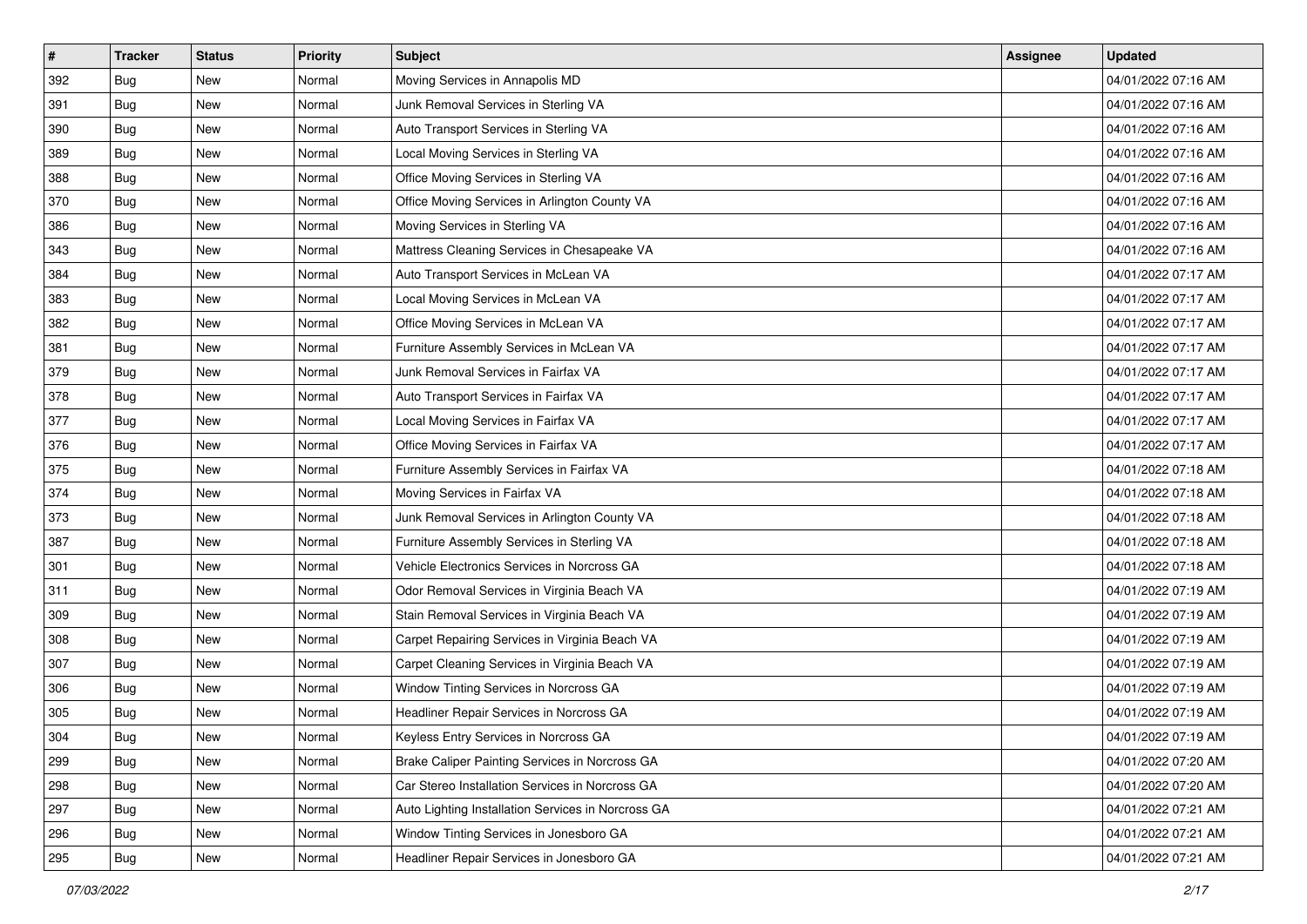| $\sharp$ | <b>Tracker</b> | <b>Status</b> | <b>Priority</b> | <b>Subject</b>                                     | <b>Assignee</b> | <b>Updated</b>      |
|----------|----------------|---------------|-----------------|----------------------------------------------------|-----------------|---------------------|
| 392      | Bug            | New           | Normal          | Moving Services in Annapolis MD                    |                 | 04/01/2022 07:16 AM |
| 391      | Bug            | <b>New</b>    | Normal          | Junk Removal Services in Sterling VA               |                 | 04/01/2022 07:16 AM |
| 390      | Bug            | New           | Normal          | Auto Transport Services in Sterling VA             |                 | 04/01/2022 07:16 AM |
| 389      | Bug            | <b>New</b>    | Normal          | Local Moving Services in Sterling VA               |                 | 04/01/2022 07:16 AM |
| 388      | Bug            | <b>New</b>    | Normal          | Office Moving Services in Sterling VA              |                 | 04/01/2022 07:16 AM |
| 370      | Bug            | <b>New</b>    | Normal          | Office Moving Services in Arlington County VA      |                 | 04/01/2022 07:16 AM |
| 386      | Bug            | New           | Normal          | Moving Services in Sterling VA                     |                 | 04/01/2022 07:16 AM |
| 343      | Bug            | New           | Normal          | Mattress Cleaning Services in Chesapeake VA        |                 | 04/01/2022 07:16 AM |
| 384      | Bug            | New           | Normal          | Auto Transport Services in McLean VA               |                 | 04/01/2022 07:17 AM |
| 383      | Bug            | <b>New</b>    | Normal          | Local Moving Services in McLean VA                 |                 | 04/01/2022 07:17 AM |
| 382      | <b>Bug</b>     | <b>New</b>    | Normal          | Office Moving Services in McLean VA                |                 | 04/01/2022 07:17 AM |
| 381      | Bug            | New           | Normal          | Furniture Assembly Services in McLean VA           |                 | 04/01/2022 07:17 AM |
| 379      | Bug            | <b>New</b>    | Normal          | Junk Removal Services in Fairfax VA                |                 | 04/01/2022 07:17 AM |
| 378      | Bug            | New           | Normal          | Auto Transport Services in Fairfax VA              |                 | 04/01/2022 07:17 AM |
| 377      | Bug            | <b>New</b>    | Normal          | Local Moving Services in Fairfax VA                |                 | 04/01/2022 07:17 AM |
| 376      | Bug            | New           | Normal          | Office Moving Services in Fairfax VA               |                 | 04/01/2022 07:17 AM |
| 375      | Bug            | <b>New</b>    | Normal          | Furniture Assembly Services in Fairfax VA          |                 | 04/01/2022 07:18 AM |
| 374      | <b>Bug</b>     | <b>New</b>    | Normal          | Moving Services in Fairfax VA                      |                 | 04/01/2022 07:18 AM |
| 373      | Bug            | New           | Normal          | Junk Removal Services in Arlington County VA       |                 | 04/01/2022 07:18 AM |
| 387      | <b>Bug</b>     | <b>New</b>    | Normal          | Furniture Assembly Services in Sterling VA         |                 | 04/01/2022 07:18 AM |
| 301      | Bug            | New           | Normal          | Vehicle Electronics Services in Norcross GA        |                 | 04/01/2022 07:18 AM |
| 311      | Bug            | <b>New</b>    | Normal          | Odor Removal Services in Virginia Beach VA         |                 | 04/01/2022 07:19 AM |
| 309      | <b>Bug</b>     | <b>New</b>    | Normal          | Stain Removal Services in Virginia Beach VA        |                 | 04/01/2022 07:19 AM |
| 308      | Bug            | New           | Normal          | Carpet Repairing Services in Virginia Beach VA     |                 | 04/01/2022 07:19 AM |
| 307      | Bug            | New           | Normal          | Carpet Cleaning Services in Virginia Beach VA      |                 | 04/01/2022 07:19 AM |
| 306      | Bug            | <b>New</b>    | Normal          | Window Tinting Services in Norcross GA             |                 | 04/01/2022 07:19 AM |
| 305      | Bug            | New           | Normal          | Headliner Repair Services in Norcross GA           |                 | 04/01/2022 07:19 AM |
| 304      | <b>Bug</b>     | New           | Normal          | Keyless Entry Services in Norcross GA              |                 | 04/01/2022 07:19 AM |
| 299      | Bug            | New           | Normal          | Brake Caliper Painting Services in Norcross GA     |                 | 04/01/2022 07:20 AM |
| 298      | Bug            | New           | Normal          | Car Stereo Installation Services in Norcross GA    |                 | 04/01/2022 07:20 AM |
| 297      | <b>Bug</b>     | <b>New</b>    | Normal          | Auto Lighting Installation Services in Norcross GA |                 | 04/01/2022 07:21 AM |
| 296      | Bug            | New           | Normal          | Window Tinting Services in Jonesboro GA            |                 | 04/01/2022 07:21 AM |
| 295      | <b>Bug</b>     | New           | Normal          | Headliner Repair Services in Jonesboro GA          |                 | 04/01/2022 07:21 AM |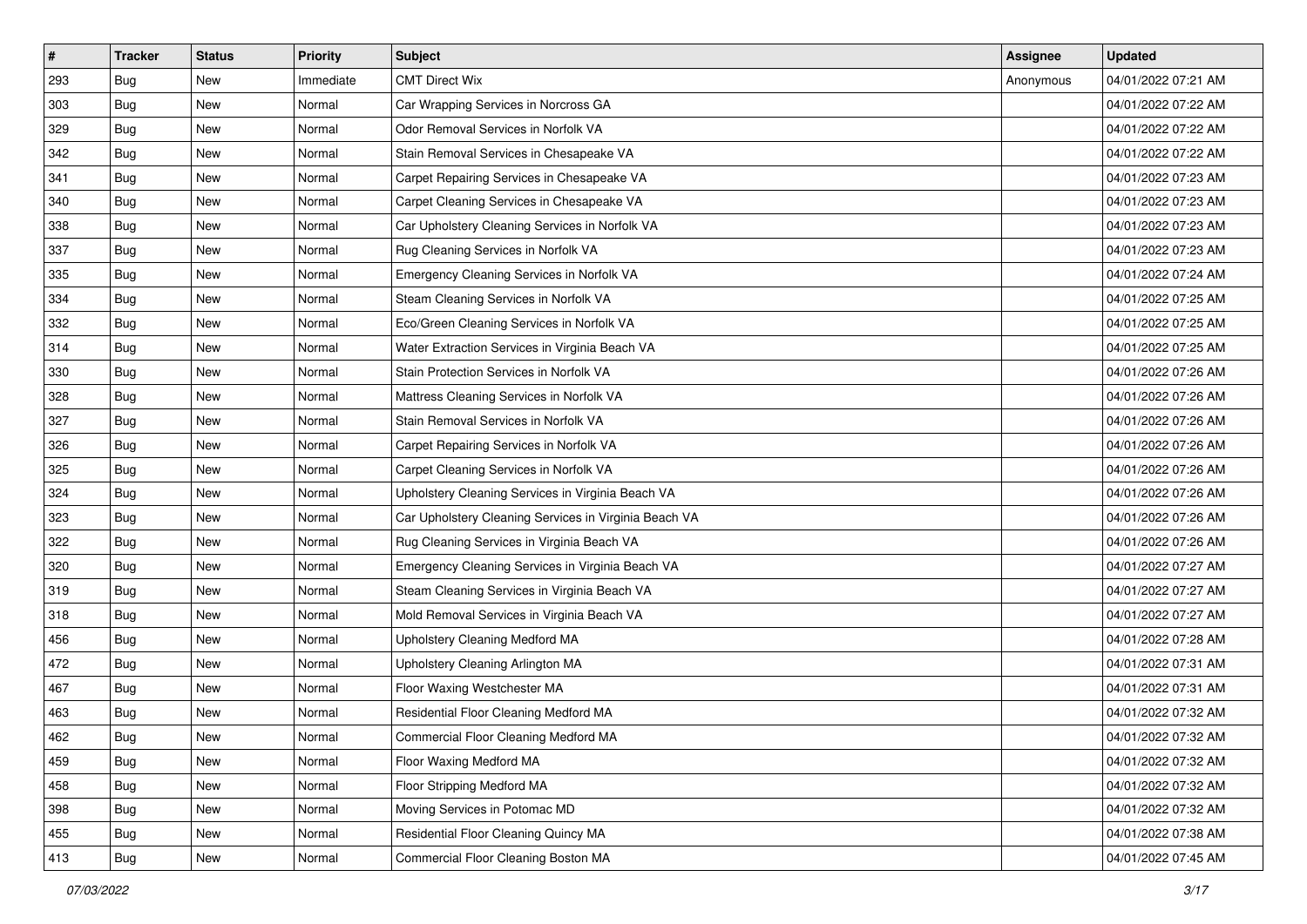| #   | <b>Tracker</b> | <b>Status</b> | <b>Priority</b> | <b>Subject</b>                                        | <b>Assignee</b> | <b>Updated</b>      |
|-----|----------------|---------------|-----------------|-------------------------------------------------------|-----------------|---------------------|
| 293 | Bug            | New           | Immediate       | <b>CMT Direct Wix</b>                                 | Anonymous       | 04/01/2022 07:21 AM |
| 303 | Bug            | <b>New</b>    | Normal          | Car Wrapping Services in Norcross GA                  |                 | 04/01/2022 07:22 AM |
| 329 | Bug            | New           | Normal          | Odor Removal Services in Norfolk VA                   |                 | 04/01/2022 07:22 AM |
| 342 | Bug            | <b>New</b>    | Normal          | Stain Removal Services in Chesapeake VA               |                 | 04/01/2022 07:22 AM |
| 341 | Bug            | <b>New</b>    | Normal          | Carpet Repairing Services in Chesapeake VA            |                 | 04/01/2022 07:23 AM |
| 340 | Bug            | <b>New</b>    | Normal          | Carpet Cleaning Services in Chesapeake VA             |                 | 04/01/2022 07:23 AM |
| 338 | Bug            | <b>New</b>    | Normal          | Car Upholstery Cleaning Services in Norfolk VA        |                 | 04/01/2022 07:23 AM |
| 337 | Bug            | New           | Normal          | Rug Cleaning Services in Norfolk VA                   |                 | 04/01/2022 07:23 AM |
| 335 | Bug            | <b>New</b>    | Normal          | Emergency Cleaning Services in Norfolk VA             |                 | 04/01/2022 07:24 AM |
| 334 | Bug            | <b>New</b>    | Normal          | Steam Cleaning Services in Norfolk VA                 |                 | 04/01/2022 07:25 AM |
| 332 | Bug            | New           | Normal          | Eco/Green Cleaning Services in Norfolk VA             |                 | 04/01/2022 07:25 AM |
| 314 | Bug            | <b>New</b>    | Normal          | Water Extraction Services in Virginia Beach VA        |                 | 04/01/2022 07:25 AM |
| 330 | Bug            | <b>New</b>    | Normal          | Stain Protection Services in Norfolk VA               |                 | 04/01/2022 07:26 AM |
| 328 | Bug            | <b>New</b>    | Normal          | Mattress Cleaning Services in Norfolk VA              |                 | 04/01/2022 07:26 AM |
| 327 | <b>Bug</b>     | <b>New</b>    | Normal          | Stain Removal Services in Norfolk VA                  |                 | 04/01/2022 07:26 AM |
| 326 | Bug            | New           | Normal          | Carpet Repairing Services in Norfolk VA               |                 | 04/01/2022 07:26 AM |
| 325 | Bug            | <b>New</b>    | Normal          | Carpet Cleaning Services in Norfolk VA                |                 | 04/01/2022 07:26 AM |
| 324 | Bug            | <b>New</b>    | Normal          | Upholstery Cleaning Services in Virginia Beach VA     |                 | 04/01/2022 07:26 AM |
| 323 | Bug            | <b>New</b>    | Normal          | Car Upholstery Cleaning Services in Virginia Beach VA |                 | 04/01/2022 07:26 AM |
| 322 | Bug            | New           | Normal          | Rug Cleaning Services in Virginia Beach VA            |                 | 04/01/2022 07:26 AM |
| 320 | Bug            | New           | Normal          | Emergency Cleaning Services in Virginia Beach VA      |                 | 04/01/2022 07:27 AM |
| 319 | Bug            | <b>New</b>    | Normal          | Steam Cleaning Services in Virginia Beach VA          |                 | 04/01/2022 07:27 AM |
| 318 | Bug            | <b>New</b>    | Normal          | Mold Removal Services in Virginia Beach VA            |                 | 04/01/2022 07:27 AM |
| 456 | Bug            | New           | Normal          | Upholstery Cleaning Medford MA                        |                 | 04/01/2022 07:28 AM |
| 472 | Bug            | <b>New</b>    | Normal          | Upholstery Cleaning Arlington MA                      |                 | 04/01/2022 07:31 AM |
| 467 | Bug            | <b>New</b>    | Normal          | Floor Waxing Westchester MA                           |                 | 04/01/2022 07:31 AM |
| 463 | <b>Bug</b>     | New           | Normal          | Residential Floor Cleaning Medford MA                 |                 | 04/01/2022 07:32 AM |
| 462 | <b>Bug</b>     | New           | Normal          | Commercial Floor Cleaning Medford MA                  |                 | 04/01/2022 07:32 AM |
| 459 | Bug            | New           | Normal          | Floor Waxing Medford MA                               |                 | 04/01/2022 07:32 AM |
| 458 | Bug            | New           | Normal          | Floor Stripping Medford MA                            |                 | 04/01/2022 07:32 AM |
| 398 | Bug            | New           | Normal          | Moving Services in Potomac MD                         |                 | 04/01/2022 07:32 AM |
| 455 | <b>Bug</b>     | New           | Normal          | Residential Floor Cleaning Quincy MA                  |                 | 04/01/2022 07:38 AM |
| 413 | <b>Bug</b>     | New           | Normal          | Commercial Floor Cleaning Boston MA                   |                 | 04/01/2022 07:45 AM |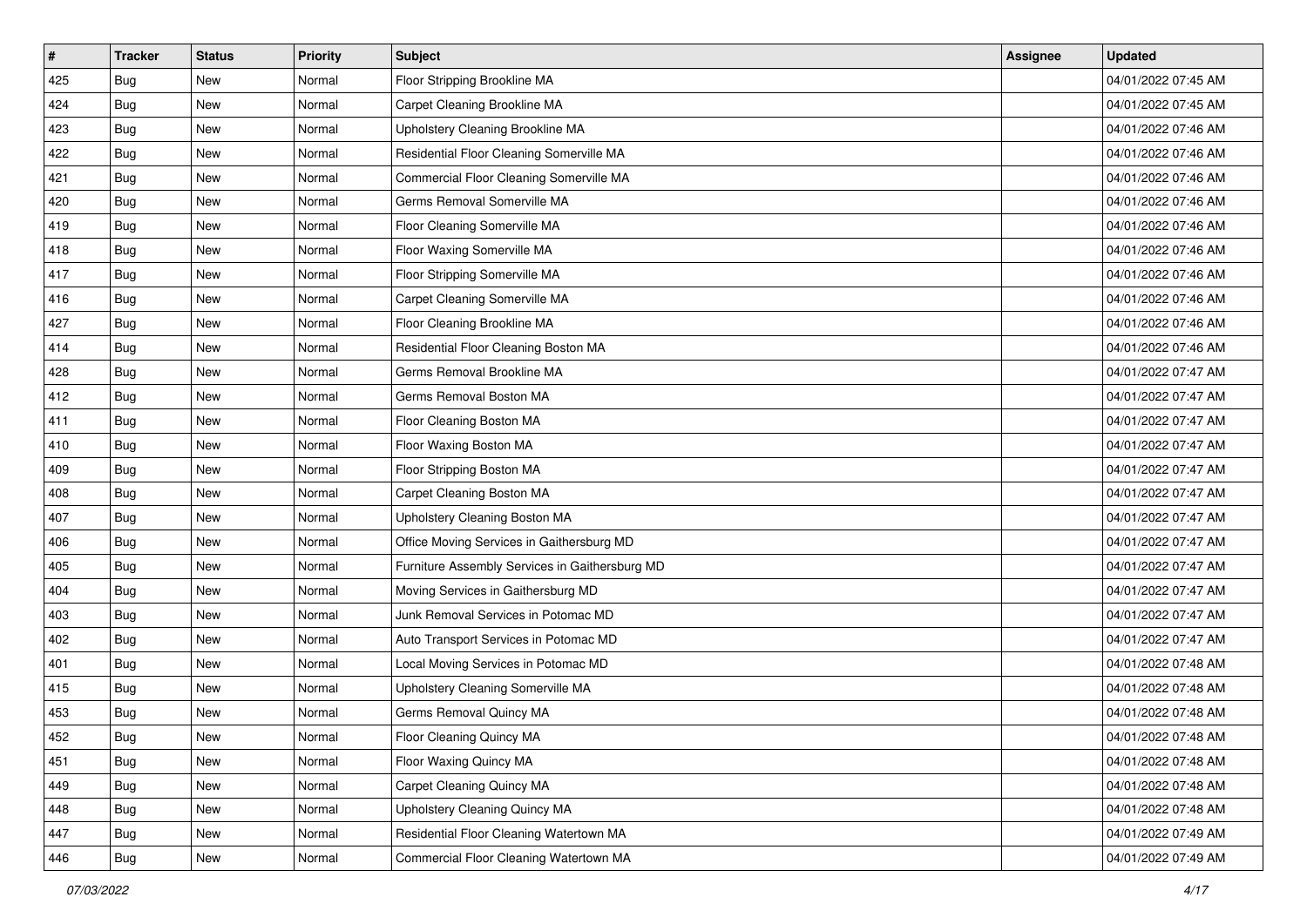| $\vert$ # | <b>Tracker</b> | <b>Status</b> | <b>Priority</b> | <b>Subject</b>                                 | <b>Assignee</b> | <b>Updated</b>      |
|-----------|----------------|---------------|-----------------|------------------------------------------------|-----------------|---------------------|
| 425       | Bug            | New           | Normal          | Floor Stripping Brookline MA                   |                 | 04/01/2022 07:45 AM |
| 424       | Bug            | New           | Normal          | Carpet Cleaning Brookline MA                   |                 | 04/01/2022 07:45 AM |
| 423       | Bug            | New           | Normal          | Upholstery Cleaning Brookline MA               |                 | 04/01/2022 07:46 AM |
| 422       | Bug            | <b>New</b>    | Normal          | Residential Floor Cleaning Somerville MA       |                 | 04/01/2022 07:46 AM |
| 421       | Bug            | <b>New</b>    | Normal          | Commercial Floor Cleaning Somerville MA        |                 | 04/01/2022 07:46 AM |
| 420       | Bug            | New           | Normal          | Germs Removal Somerville MA                    |                 | 04/01/2022 07:46 AM |
| 419       | Bug            | <b>New</b>    | Normal          | Floor Cleaning Somerville MA                   |                 | 04/01/2022 07:46 AM |
| 418       | Bug            | New           | Normal          | Floor Waxing Somerville MA                     |                 | 04/01/2022 07:46 AM |
| 417       | Bug            | <b>New</b>    | Normal          | Floor Stripping Somerville MA                  |                 | 04/01/2022 07:46 AM |
| 416       | Bug            | <b>New</b>    | Normal          | Carpet Cleaning Somerville MA                  |                 | 04/01/2022 07:46 AM |
| 427       | Bug            | New           | Normal          | Floor Cleaning Brookline MA                    |                 | 04/01/2022 07:46 AM |
| 414       | Bug            | <b>New</b>    | Normal          | Residential Floor Cleaning Boston MA           |                 | 04/01/2022 07:46 AM |
| 428       | Bug            | <b>New</b>    | Normal          | Germs Removal Brookline MA                     |                 | 04/01/2022 07:47 AM |
| 412       | Bug            | New           | Normal          | Germs Removal Boston MA                        |                 | 04/01/2022 07:47 AM |
| 411       | Bug            | <b>New</b>    | Normal          | Floor Cleaning Boston MA                       |                 | 04/01/2022 07:47 AM |
| 410       | Bug            | New           | Normal          | Floor Waxing Boston MA                         |                 | 04/01/2022 07:47 AM |
| 409       | Bug            | <b>New</b>    | Normal          | Floor Stripping Boston MA                      |                 | 04/01/2022 07:47 AM |
| 408       | Bug            | <b>New</b>    | Normal          | Carpet Cleaning Boston MA                      |                 | 04/01/2022 07:47 AM |
| 407       | Bug            | New           | Normal          | Upholstery Cleaning Boston MA                  |                 | 04/01/2022 07:47 AM |
| 406       | Bug            | <b>New</b>    | Normal          | Office Moving Services in Gaithersburg MD      |                 | 04/01/2022 07:47 AM |
| 405       | Bug            | New           | Normal          | Furniture Assembly Services in Gaithersburg MD |                 | 04/01/2022 07:47 AM |
| 404       | Bug            | <b>New</b>    | Normal          | Moving Services in Gaithersburg MD             |                 | 04/01/2022 07:47 AM |
| 403       | Bug            | <b>New</b>    | Normal          | Junk Removal Services in Potomac MD            |                 | 04/01/2022 07:47 AM |
| 402       | Bug            | New           | Normal          | Auto Transport Services in Potomac MD          |                 | 04/01/2022 07:47 AM |
| 401       | Bug            | New           | Normal          | Local Moving Services in Potomac MD            |                 | 04/01/2022 07:48 AM |
| 415       | Bug            | New           | Normal          | Upholstery Cleaning Somerville MA              |                 | 04/01/2022 07:48 AM |
| 453       | Bug            | New           | Normal          | Germs Removal Quincy MA                        |                 | 04/01/2022 07:48 AM |
| 452       | <b>Bug</b>     | New           | Normal          | Floor Cleaning Quincy MA                       |                 | 04/01/2022 07:48 AM |
| 451       | Bug            | New           | Normal          | Floor Waxing Quincy MA                         |                 | 04/01/2022 07:48 AM |
| 449       | Bug            | New           | Normal          | Carpet Cleaning Quincy MA                      |                 | 04/01/2022 07:48 AM |
| 448       | Bug            | New           | Normal          | Upholstery Cleaning Quincy MA                  |                 | 04/01/2022 07:48 AM |
| 447       | <b>Bug</b>     | New           | Normal          | Residential Floor Cleaning Watertown MA        |                 | 04/01/2022 07:49 AM |
| 446       | <b>Bug</b>     | New           | Normal          | Commercial Floor Cleaning Watertown MA         |                 | 04/01/2022 07:49 AM |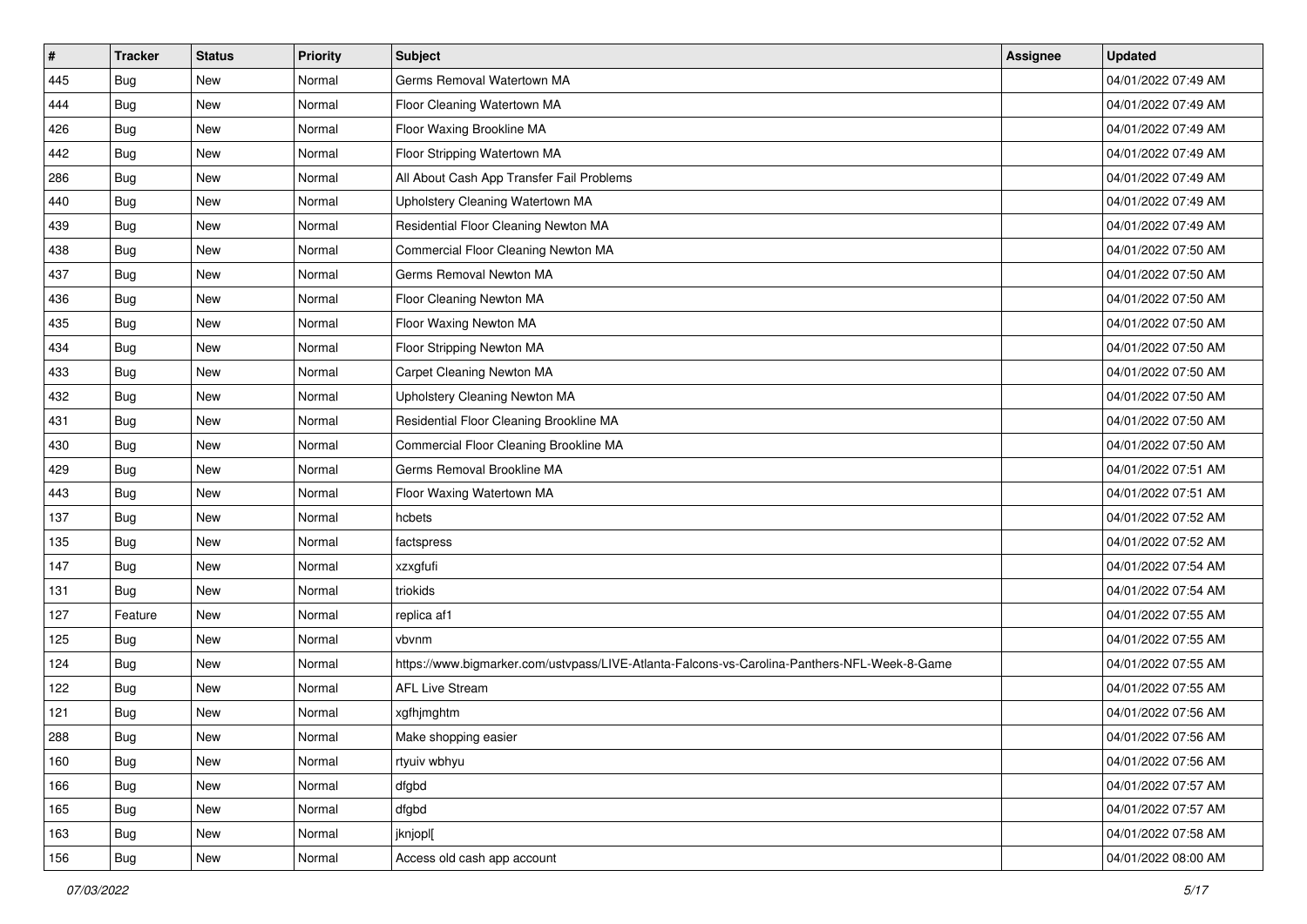| #   | <b>Tracker</b> | <b>Status</b> | <b>Priority</b> | <b>Subject</b>                                                                               | Assignee | <b>Updated</b>      |
|-----|----------------|---------------|-----------------|----------------------------------------------------------------------------------------------|----------|---------------------|
| 445 | Bug            | New           | Normal          | Germs Removal Watertown MA                                                                   |          | 04/01/2022 07:49 AM |
| 444 | Bug            | <b>New</b>    | Normal          | Floor Cleaning Watertown MA                                                                  |          | 04/01/2022 07:49 AM |
| 426 | Bug            | New           | Normal          | Floor Waxing Brookline MA                                                                    |          | 04/01/2022 07:49 AM |
| 442 | Bug            | <b>New</b>    | Normal          | Floor Stripping Watertown MA                                                                 |          | 04/01/2022 07:49 AM |
| 286 | Bug            | <b>New</b>    | Normal          | All About Cash App Transfer Fail Problems                                                    |          | 04/01/2022 07:49 AM |
| 440 | Bug            | <b>New</b>    | Normal          | Upholstery Cleaning Watertown MA                                                             |          | 04/01/2022 07:49 AM |
| 439 | Bug            | <b>New</b>    | Normal          | Residential Floor Cleaning Newton MA                                                         |          | 04/01/2022 07:49 AM |
| 438 | Bug            | New           | Normal          | Commercial Floor Cleaning Newton MA                                                          |          | 04/01/2022 07:50 AM |
| 437 | Bug            | <b>New</b>    | Normal          | Germs Removal Newton MA                                                                      |          | 04/01/2022 07:50 AM |
| 436 | Bug            | <b>New</b>    | Normal          | Floor Cleaning Newton MA                                                                     |          | 04/01/2022 07:50 AM |
| 435 | Bug            | New           | Normal          | Floor Waxing Newton MA                                                                       |          | 04/01/2022 07:50 AM |
| 434 | Bug            | <b>New</b>    | Normal          | Floor Stripping Newton MA                                                                    |          | 04/01/2022 07:50 AM |
| 433 | Bug            | <b>New</b>    | Normal          | Carpet Cleaning Newton MA                                                                    |          | 04/01/2022 07:50 AM |
| 432 | Bug            | <b>New</b>    | Normal          | Upholstery Cleaning Newton MA                                                                |          | 04/01/2022 07:50 AM |
| 431 | <b>Bug</b>     | <b>New</b>    | Normal          | Residential Floor Cleaning Brookline MA                                                      |          | 04/01/2022 07:50 AM |
| 430 | Bug            | New           | Normal          | Commercial Floor Cleaning Brookline MA                                                       |          | 04/01/2022 07:50 AM |
| 429 | Bug            | <b>New</b>    | Normal          | Germs Removal Brookline MA                                                                   |          | 04/01/2022 07:51 AM |
| 443 | Bug            | <b>New</b>    | Normal          | Floor Waxing Watertown MA                                                                    |          | 04/01/2022 07:51 AM |
| 137 | Bug            | <b>New</b>    | Normal          | hcbets                                                                                       |          | 04/01/2022 07:52 AM |
| 135 | Bug            | <b>New</b>    | Normal          | factspress                                                                                   |          | 04/01/2022 07:52 AM |
| 147 | Bug            | New           | Normal          | xzxgfufi                                                                                     |          | 04/01/2022 07:54 AM |
| 131 | Bug            | <b>New</b>    | Normal          | triokids                                                                                     |          | 04/01/2022 07:54 AM |
| 127 | Feature        | <b>New</b>    | Normal          | replica af1                                                                                  |          | 04/01/2022 07:55 AM |
| 125 | Bug            | New           | Normal          | vbvnm                                                                                        |          | 04/01/2022 07:55 AM |
| 124 | Bug            | <b>New</b>    | Normal          | https://www.bigmarker.com/ustvpass/LIVE-Atlanta-Falcons-vs-Carolina-Panthers-NFL-Week-8-Game |          | 04/01/2022 07:55 AM |
| 122 | Bug            | <b>New</b>    | Normal          | <b>AFL Live Stream</b>                                                                       |          | 04/01/2022 07:55 AM |
| 121 | <b>Bug</b>     | New           | Normal          | xgfhjmghtm                                                                                   |          | 04/01/2022 07:56 AM |
| 288 | <b>Bug</b>     | New           | Normal          | Make shopping easier                                                                         |          | 04/01/2022 07:56 AM |
| 160 | Bug            | New           | Normal          | rtyuiv wbhyu                                                                                 |          | 04/01/2022 07:56 AM |
| 166 | Bug            | New           | Normal          | dfgbd                                                                                        |          | 04/01/2022 07:57 AM |
| 165 | Bug            | New           | Normal          | dfgbd                                                                                        |          | 04/01/2022 07:57 AM |
| 163 | <b>Bug</b>     | New           | Normal          | jknjopl[                                                                                     |          | 04/01/2022 07:58 AM |
| 156 | <b>Bug</b>     | New           | Normal          | Access old cash app account                                                                  |          | 04/01/2022 08:00 AM |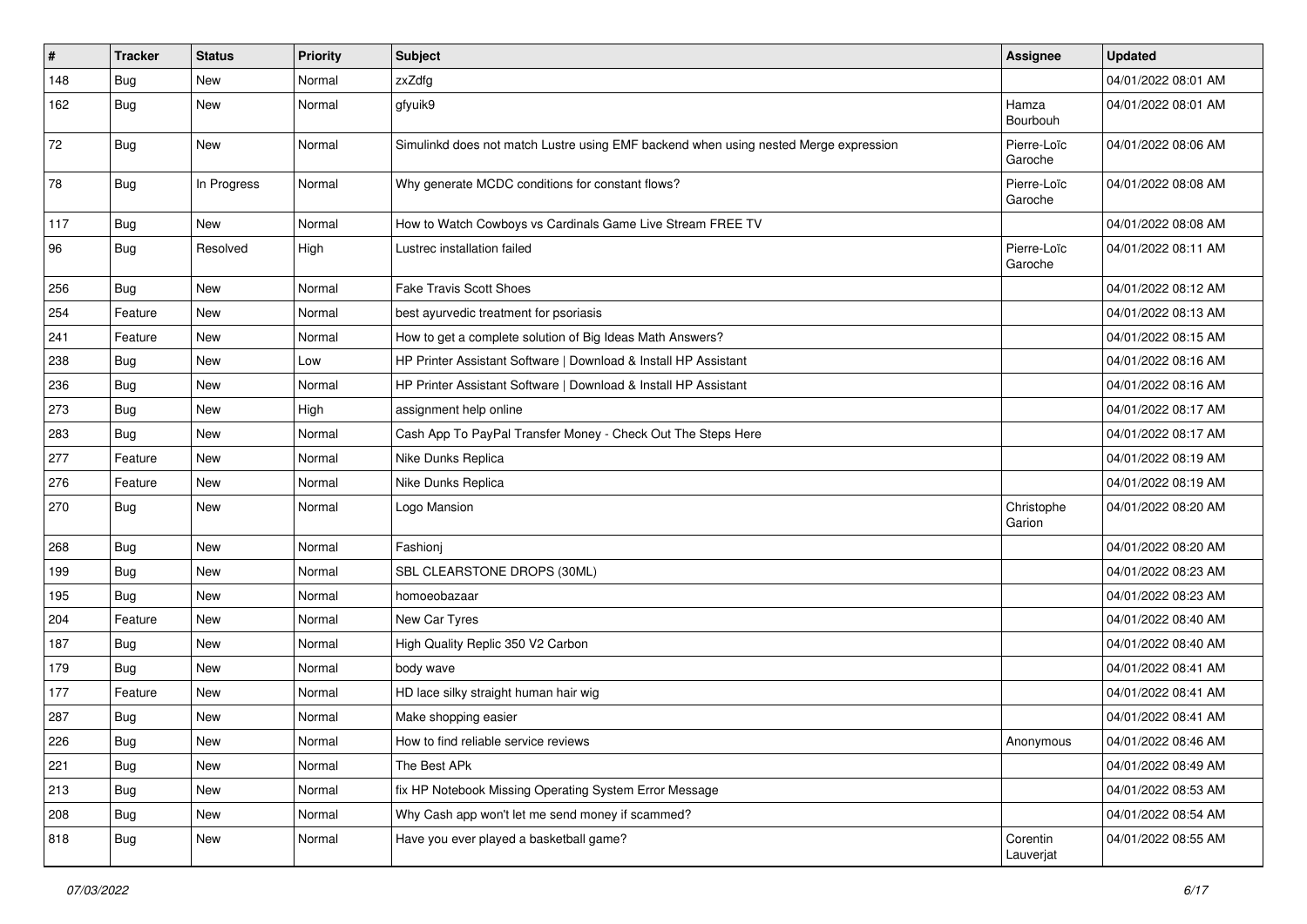| $\vert$ # | <b>Tracker</b> | <b>Status</b> | <b>Priority</b> | <b>Subject</b>                                                                       | Assignee               | <b>Updated</b>      |
|-----------|----------------|---------------|-----------------|--------------------------------------------------------------------------------------|------------------------|---------------------|
| 148       | <b>Bug</b>     | New           | Normal          | zxZdfg                                                                               |                        | 04/01/2022 08:01 AM |
| 162       | Bug            | New           | Normal          | gfyuik9                                                                              | Hamza<br>Bourbouh      | 04/01/2022 08:01 AM |
| 72        | Bug            | <b>New</b>    | Normal          | Simulinkd does not match Lustre using EMF backend when using nested Merge expression | Pierre-Loïc<br>Garoche | 04/01/2022 08:06 AM |
| 78        | Bug            | In Progress   | Normal          | Why generate MCDC conditions for constant flows?                                     | Pierre-Loïc<br>Garoche | 04/01/2022 08:08 AM |
| 117       | Bug            | <b>New</b>    | Normal          | How to Watch Cowboys vs Cardinals Game Live Stream FREE TV                           |                        | 04/01/2022 08:08 AM |
| 96        | Bug            | Resolved      | High            | Lustrec installation failed                                                          | Pierre-Loïc<br>Garoche | 04/01/2022 08:11 AM |
| 256       | Bug            | <b>New</b>    | Normal          | <b>Fake Travis Scott Shoes</b>                                                       |                        | 04/01/2022 08:12 AM |
| 254       | Feature        | <b>New</b>    | Normal          | best ayurvedic treatment for psoriasis                                               |                        | 04/01/2022 08:13 AM |
| 241       | Feature        | <b>New</b>    | Normal          | How to get a complete solution of Big Ideas Math Answers?                            |                        | 04/01/2022 08:15 AM |
| 238       | Bug            | <b>New</b>    | Low             | HP Printer Assistant Software   Download & Install HP Assistant                      |                        | 04/01/2022 08:16 AM |
| 236       | <b>Bug</b>     | <b>New</b>    | Normal          | HP Printer Assistant Software   Download & Install HP Assistant                      |                        | 04/01/2022 08:16 AM |
| 273       | Bug            | <b>New</b>    | High            | assignment help online                                                               |                        | 04/01/2022 08:17 AM |
| 283       | Bug            | <b>New</b>    | Normal          | Cash App To PayPal Transfer Money - Check Out The Steps Here                         |                        | 04/01/2022 08:17 AM |
| 277       | Feature        | <b>New</b>    | Normal          | Nike Dunks Replica                                                                   |                        | 04/01/2022 08:19 AM |
| 276       | Feature        | New           | Normal          | Nike Dunks Replica                                                                   |                        | 04/01/2022 08:19 AM |
| 270       | Bug            | <b>New</b>    | Normal          | Logo Mansion                                                                         | Christophe<br>Garion   | 04/01/2022 08:20 AM |
| 268       | Bug            | <b>New</b>    | Normal          | Fashionj                                                                             |                        | 04/01/2022 08:20 AM |
| 199       | Bug            | New           | Normal          | SBL CLEARSTONE DROPS (30ML)                                                          |                        | 04/01/2022 08:23 AM |
| 195       | Bug            | New           | Normal          | homoeobazaar                                                                         |                        | 04/01/2022 08:23 AM |
| 204       | Feature        | <b>New</b>    | Normal          | New Car Tyres                                                                        |                        | 04/01/2022 08:40 AM |
| 187       | Bug            | <b>New</b>    | Normal          | High Quality Replic 350 V2 Carbon                                                    |                        | 04/01/2022 08:40 AM |
| 179       | Bug            | <b>New</b>    | Normal          | body wave                                                                            |                        | 04/01/2022 08:41 AM |
| 177       | Feature        | <b>New</b>    | Normal          | HD lace silky straight human hair wig                                                |                        | 04/01/2022 08:41 AM |
| 287       | Bug            | <b>New</b>    | Normal          | Make shopping easier                                                                 |                        | 04/01/2022 08:41 AM |
| 226       | Bug            | New           | Normal          | How to find reliable service reviews                                                 | Anonymous              | 04/01/2022 08:46 AM |
| 221       | Bug            | New           | Normal          | The Best APk                                                                         |                        | 04/01/2022 08:49 AM |
| 213       | Bug            | New           | Normal          | fix HP Notebook Missing Operating System Error Message                               |                        | 04/01/2022 08:53 AM |
| 208       | Bug            | New           | Normal          | Why Cash app won't let me send money if scammed?                                     |                        | 04/01/2022 08:54 AM |
| 818       | <b>Bug</b>     | New           | Normal          | Have you ever played a basketball game?                                              | Corentin<br>Lauverjat  | 04/01/2022 08:55 AM |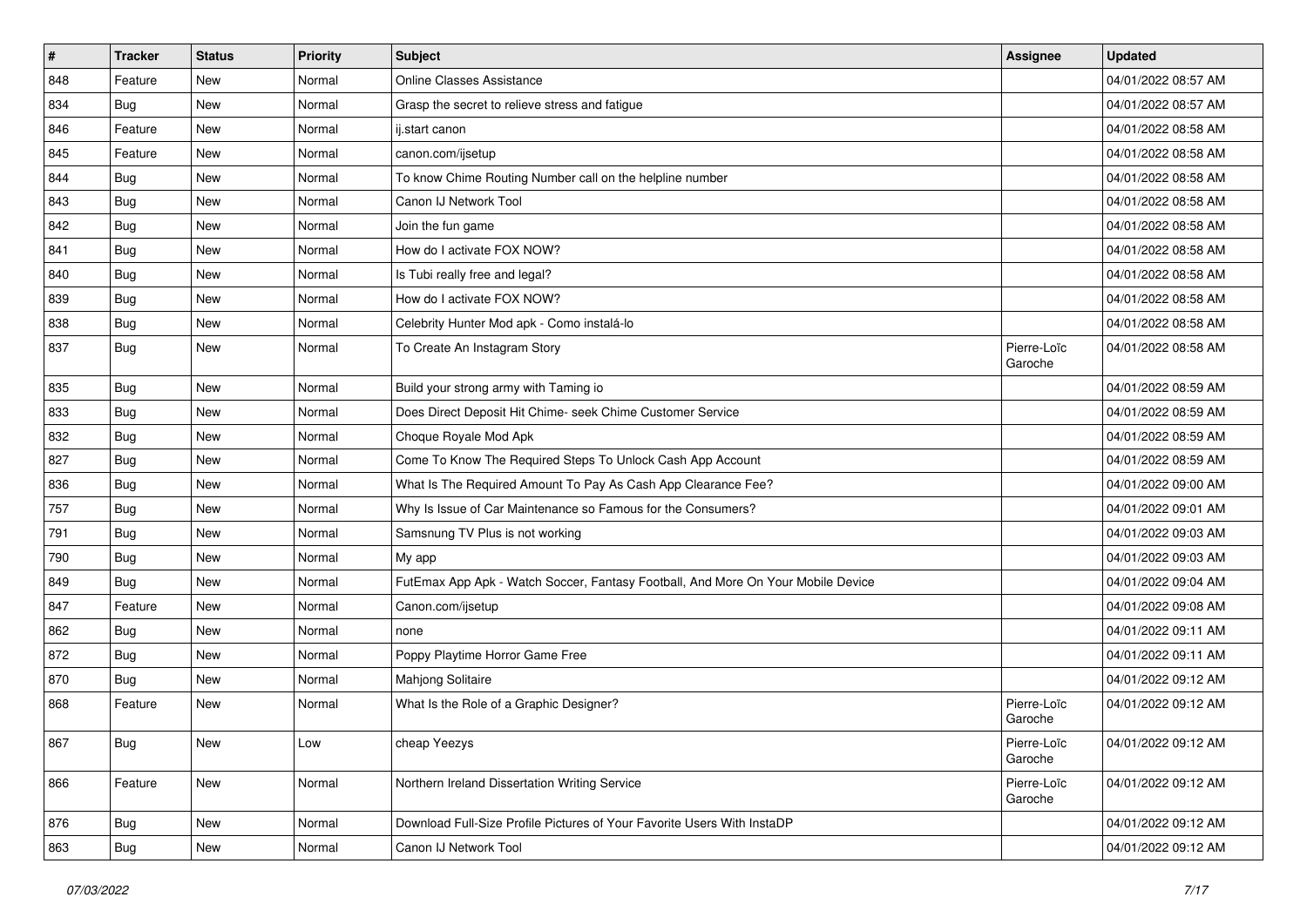| $\vert$ # | <b>Tracker</b> | <b>Status</b> | <b>Priority</b> | <b>Subject</b>                                                                   | Assignee               | <b>Updated</b>      |
|-----------|----------------|---------------|-----------------|----------------------------------------------------------------------------------|------------------------|---------------------|
| 848       | Feature        | <b>New</b>    | Normal          | <b>Online Classes Assistance</b>                                                 |                        | 04/01/2022 08:57 AM |
| 834       | Bug            | <b>New</b>    | Normal          | Grasp the secret to relieve stress and fatigue                                   |                        | 04/01/2022 08:57 AM |
| 846       | Feature        | New           | Normal          | ij.start canon                                                                   |                        | 04/01/2022 08:58 AM |
| 845       | Feature        | <b>New</b>    | Normal          | canon.com/ijsetup                                                                |                        | 04/01/2022 08:58 AM |
| 844       | Bug            | <b>New</b>    | Normal          | To know Chime Routing Number call on the helpline number                         |                        | 04/01/2022 08:58 AM |
| 843       | Bug            | <b>New</b>    | Normal          | Canon IJ Network Tool                                                            |                        | 04/01/2022 08:58 AM |
| 842       | Bug            | <b>New</b>    | Normal          | Join the fun game                                                                |                        | 04/01/2022 08:58 AM |
| 841       | Bug            | <b>New</b>    | Normal          | How do I activate FOX NOW?                                                       |                        | 04/01/2022 08:58 AM |
| 840       | Bug            | <b>New</b>    | Normal          | Is Tubi really free and legal?                                                   |                        | 04/01/2022 08:58 AM |
| 839       | Bug            | New           | Normal          | How do I activate FOX NOW?                                                       |                        | 04/01/2022 08:58 AM |
| 838       | Bug            | <b>New</b>    | Normal          | Celebrity Hunter Mod apk - Como instalá-lo                                       |                        | 04/01/2022 08:58 AM |
| 837       | Bug            | <b>New</b>    | Normal          | To Create An Instagram Story                                                     | Pierre-Loïc<br>Garoche | 04/01/2022 08:58 AM |
| 835       | Bug            | <b>New</b>    | Normal          | Build your strong army with Taming io                                            |                        | 04/01/2022 08:59 AM |
| 833       | Bug            | <b>New</b>    | Normal          | Does Direct Deposit Hit Chime- seek Chime Customer Service                       |                        | 04/01/2022 08:59 AM |
| 832       | Bug            | <b>New</b>    | Normal          | Choque Royale Mod Apk                                                            |                        | 04/01/2022 08:59 AM |
| 827       | Bug            | <b>New</b>    | Normal          | Come To Know The Required Steps To Unlock Cash App Account                       |                        | 04/01/2022 08:59 AM |
| 836       | Bug            | <b>New</b>    | Normal          | What Is The Required Amount To Pay As Cash App Clearance Fee?                    |                        | 04/01/2022 09:00 AM |
| 757       | Bug            | <b>New</b>    | Normal          | Why Is Issue of Car Maintenance so Famous for the Consumers?                     |                        | 04/01/2022 09:01 AM |
| 791       | Bug            | New           | Normal          | Samsnung TV Plus is not working                                                  |                        | 04/01/2022 09:03 AM |
| 790       | Bug            | New           | Normal          | My app                                                                           |                        | 04/01/2022 09:03 AM |
| 849       | Bug            | <b>New</b>    | Normal          | FutEmax App Apk - Watch Soccer, Fantasy Football, And More On Your Mobile Device |                        | 04/01/2022 09:04 AM |
| 847       | Feature        | <b>New</b>    | Normal          | Canon.com/ijsetup                                                                |                        | 04/01/2022 09:08 AM |
| 862       | <b>Bug</b>     | <b>New</b>    | Normal          | none                                                                             |                        | 04/01/2022 09:11 AM |
| 872       | Bug            | <b>New</b>    | Normal          | Poppy Playtime Horror Game Free                                                  |                        | 04/01/2022 09:11 AM |
| 870       | Bug            | <b>New</b>    | Normal          | Mahjong Solitaire                                                                |                        | 04/01/2022 09:12 AM |
| 868       | Feature        | <b>New</b>    | Normal          | What Is the Role of a Graphic Designer?                                          | Pierre-Loïc<br>Garoche | 04/01/2022 09:12 AM |
| 867       | Bug            | New           | Low             | cheap Yeezys                                                                     | Pierre-Loïc<br>Garoche | 04/01/2022 09:12 AM |
| 866       | Feature        | New           | Normal          | Northern Ireland Dissertation Writing Service                                    | Pierre-Loïc<br>Garoche | 04/01/2022 09:12 AM |
| 876       | <b>Bug</b>     | New           | Normal          | Download Full-Size Profile Pictures of Your Favorite Users With InstaDP          |                        | 04/01/2022 09:12 AM |
| 863       | <b>Bug</b>     | New           | Normal          | Canon IJ Network Tool                                                            |                        | 04/01/2022 09:12 AM |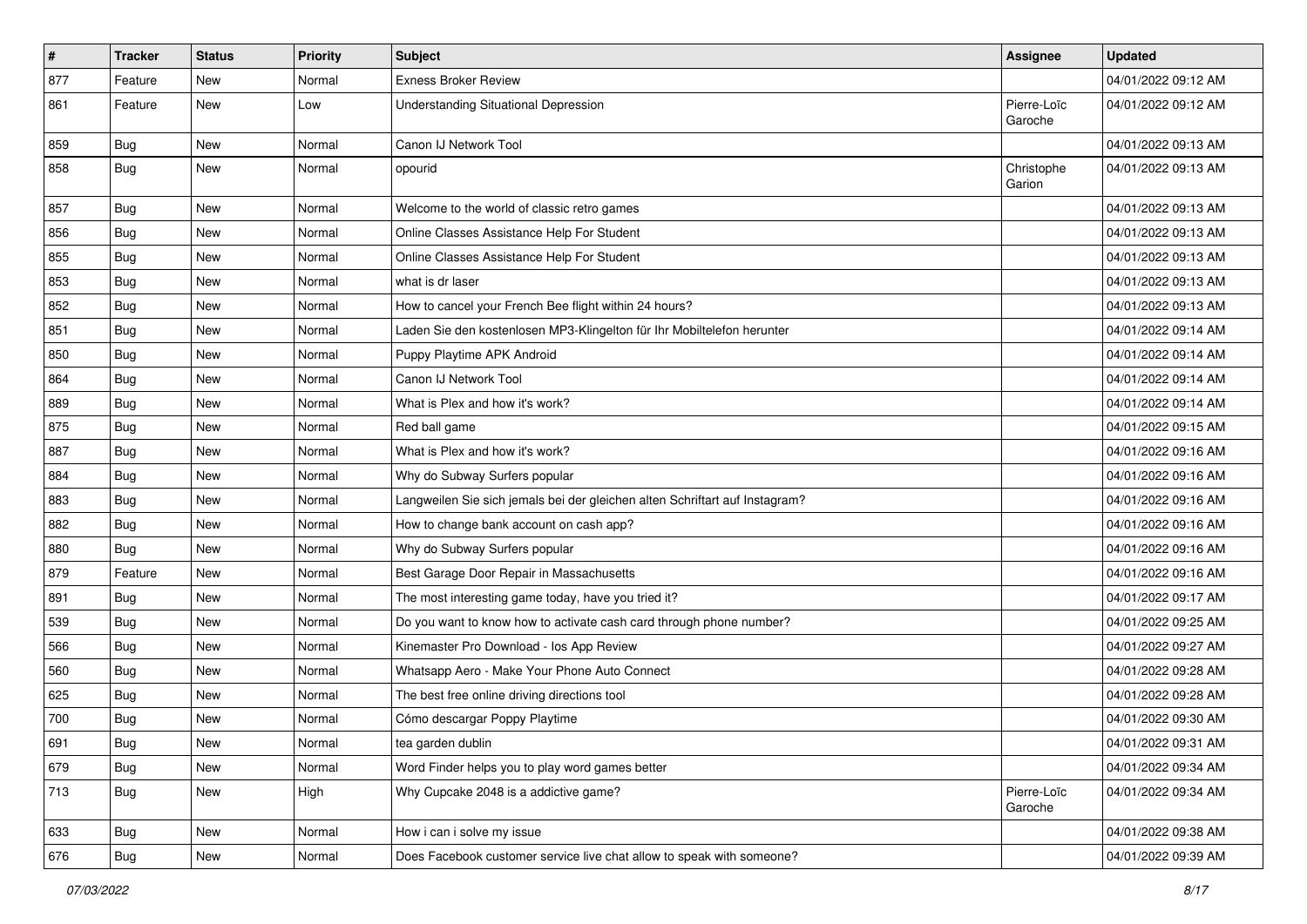| $\vert$ # | <b>Tracker</b> | <b>Status</b> | <b>Priority</b> | <b>Subject</b>                                                              | Assignee               | <b>Updated</b>      |
|-----------|----------------|---------------|-----------------|-----------------------------------------------------------------------------|------------------------|---------------------|
| 877       | Feature        | <b>New</b>    | Normal          | <b>Exness Broker Review</b>                                                 |                        | 04/01/2022 09:12 AM |
| 861       | Feature        | <b>New</b>    | Low             | <b>Understanding Situational Depression</b>                                 | Pierre-Loïc<br>Garoche | 04/01/2022 09:12 AM |
| 859       | Bug            | <b>New</b>    | Normal          | Canon IJ Network Tool                                                       |                        | 04/01/2022 09:13 AM |
| 858       | Bug            | <b>New</b>    | Normal          | opourid                                                                     | Christophe<br>Garion   | 04/01/2022 09:13 AM |
| 857       | Bug            | <b>New</b>    | Normal          | Welcome to the world of classic retro games                                 |                        | 04/01/2022 09:13 AM |
| 856       | Bug            | <b>New</b>    | Normal          | Online Classes Assistance Help For Student                                  |                        | 04/01/2022 09:13 AM |
| 855       | Bug            | <b>New</b>    | Normal          | Online Classes Assistance Help For Student                                  |                        | 04/01/2022 09:13 AM |
| 853       | Bug            | <b>New</b>    | Normal          | what is dr laser                                                            |                        | 04/01/2022 09:13 AM |
| 852       | Bug            | New           | Normal          | How to cancel your French Bee flight within 24 hours?                       |                        | 04/01/2022 09:13 AM |
| 851       | Bug            | <b>New</b>    | Normal          | Laden Sie den kostenlosen MP3-Klingelton für Ihr Mobiltelefon herunter      |                        | 04/01/2022 09:14 AM |
| 850       | Bug            | <b>New</b>    | Normal          | Puppy Playtime APK Android                                                  |                        | 04/01/2022 09:14 AM |
| 864       | Bug            | <b>New</b>    | Normal          | Canon IJ Network Tool                                                       |                        | 04/01/2022 09:14 AM |
| 889       | Bug            | <b>New</b>    | Normal          | What is Plex and how it's work?                                             |                        | 04/01/2022 09:14 AM |
| 875       | Bug            | <b>New</b>    | Normal          | Red ball game                                                               |                        | 04/01/2022 09:15 AM |
| 887       | <b>Bug</b>     | <b>New</b>    | Normal          | What is Plex and how it's work?                                             |                        | 04/01/2022 09:16 AM |
| 884       | Bug            | <b>New</b>    | Normal          | Why do Subway Surfers popular                                               |                        | 04/01/2022 09:16 AM |
| 883       | Bug            | <b>New</b>    | Normal          | Langweilen Sie sich jemals bei der gleichen alten Schriftart auf Instagram? |                        | 04/01/2022 09:16 AM |
| 882       | Bug            | <b>New</b>    | Normal          | How to change bank account on cash app?                                     |                        | 04/01/2022 09:16 AM |
| 880       | Bug            | <b>New</b>    | Normal          | Why do Subway Surfers popular                                               |                        | 04/01/2022 09:16 AM |
| 879       | Feature        | <b>New</b>    | Normal          | Best Garage Door Repair in Massachusetts                                    |                        | 04/01/2022 09:16 AM |
| 891       | Bug            | <b>New</b>    | Normal          | The most interesting game today, have you tried it?                         |                        | 04/01/2022 09:17 AM |
| 539       | Bug            | New           | Normal          | Do you want to know how to activate cash card through phone number?         |                        | 04/01/2022 09:25 AM |
| 566       | Bug            | <b>New</b>    | Normal          | Kinemaster Pro Download - los App Review                                    |                        | 04/01/2022 09:27 AM |
| 560       | Bug            | <b>New</b>    | Normal          | Whatsapp Aero - Make Your Phone Auto Connect                                |                        | 04/01/2022 09:28 AM |
| 625       | Bug            | <b>New</b>    | Normal          | The best free online driving directions tool                                |                        | 04/01/2022 09:28 AM |
| 700       | <b>Bug</b>     | <b>New</b>    | Normal          | Cómo descargar Poppy Playtime                                               |                        | 04/01/2022 09:30 AM |
| 691       | <b>Bug</b>     | New           | Normal          | tea garden dublin                                                           |                        | 04/01/2022 09:31 AM |
| 679       | <b>Bug</b>     | New           | Normal          | Word Finder helps you to play word games better                             |                        | 04/01/2022 09:34 AM |
| 713       | <b>Bug</b>     | New           | High            | Why Cupcake 2048 is a addictive game?                                       | Pierre-Loïc<br>Garoche | 04/01/2022 09:34 AM |
| 633       | <b>Bug</b>     | New           | Normal          | How i can i solve my issue                                                  |                        | 04/01/2022 09:38 AM |
| 676       | <b>Bug</b>     | New           | Normal          | Does Facebook customer service live chat allow to speak with someone?       |                        | 04/01/2022 09:39 AM |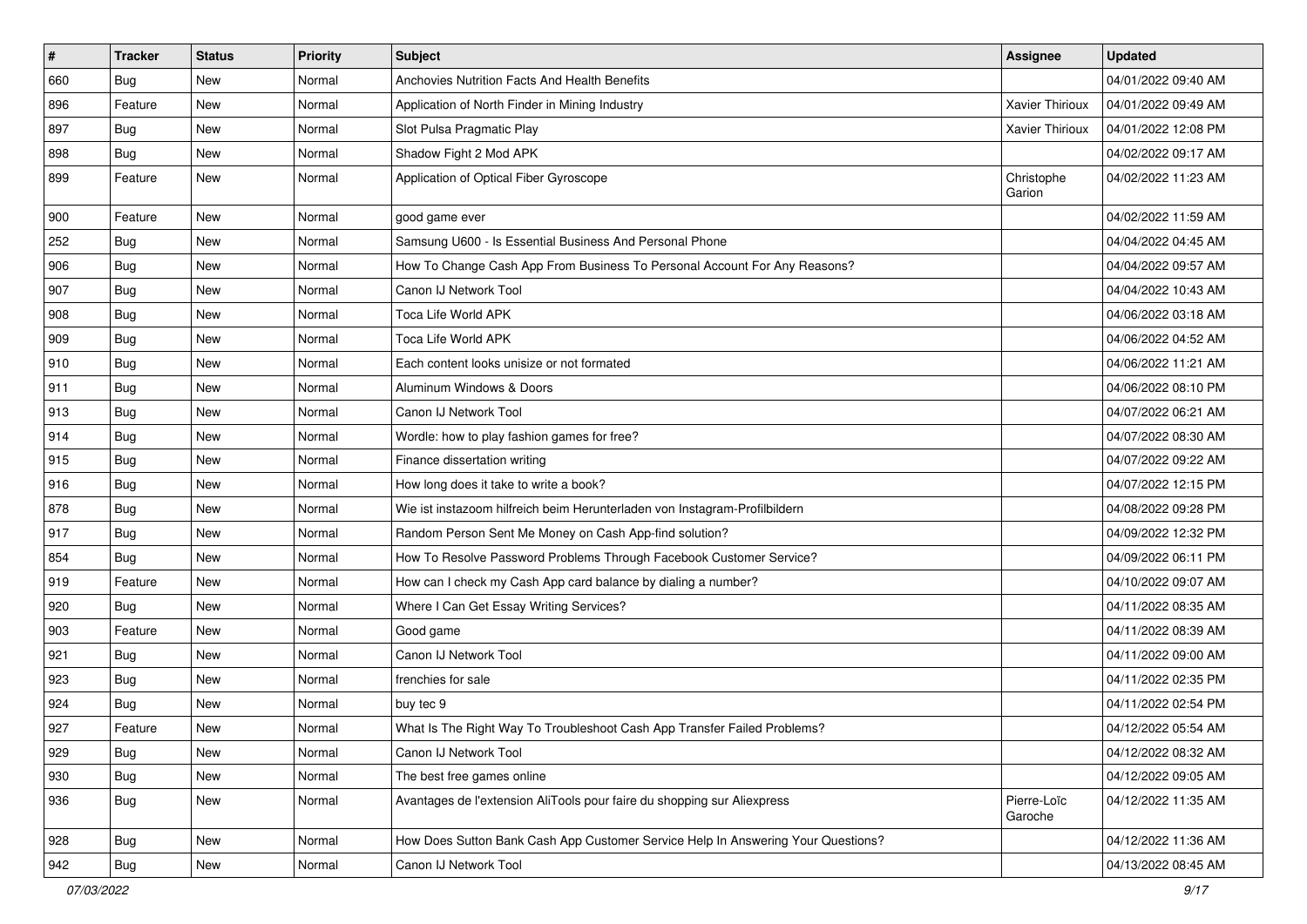| $\pmb{\#}$ | <b>Tracker</b> | <b>Status</b> | <b>Priority</b> | <b>Subject</b>                                                                   | Assignee               | <b>Updated</b>      |
|------------|----------------|---------------|-----------------|----------------------------------------------------------------------------------|------------------------|---------------------|
| 660        | Bug            | New           | Normal          | Anchovies Nutrition Facts And Health Benefits                                    |                        | 04/01/2022 09:40 AM |
| 896        | Feature        | <b>New</b>    | Normal          | Application of North Finder in Mining Industry                                   | Xavier Thirioux        | 04/01/2022 09:49 AM |
| 897        | Bug            | New           | Normal          | Slot Pulsa Pragmatic Play                                                        | Xavier Thirioux        | 04/01/2022 12:08 PM |
| 898        | Bug            | <b>New</b>    | Normal          | Shadow Fight 2 Mod APK                                                           |                        | 04/02/2022 09:17 AM |
| 899        | Feature        | <b>New</b>    | Normal          | Application of Optical Fiber Gyroscope                                           | Christophe<br>Garion   | 04/02/2022 11:23 AM |
| 900        | Feature        | <b>New</b>    | Normal          | good game ever                                                                   |                        | 04/02/2022 11:59 AM |
| 252        | Bug            | New           | Normal          | Samsung U600 - Is Essential Business And Personal Phone                          |                        | 04/04/2022 04:45 AM |
| 906        | Bug            | New           | Normal          | How To Change Cash App From Business To Personal Account For Any Reasons?        |                        | 04/04/2022 09:57 AM |
| 907        | Bug            | <b>New</b>    | Normal          | Canon IJ Network Tool                                                            |                        | 04/04/2022 10:43 AM |
| 908        | Bug            | New           | Normal          | Toca Life World APK                                                              |                        | 04/06/2022 03:18 AM |
| 909        | Bug            | New           | Normal          | Toca Life World APK                                                              |                        | 04/06/2022 04:52 AM |
| 910        | Bug            | <b>New</b>    | Normal          | Each content looks unisize or not formated                                       |                        | 04/06/2022 11:21 AM |
| 911        | Bug            | New           | Normal          | Aluminum Windows & Doors                                                         |                        | 04/06/2022 08:10 PM |
| 913        | Bug            | <b>New</b>    | Normal          | Canon IJ Network Tool                                                            |                        | 04/07/2022 06:21 AM |
| 914        | Bug            | New           | Normal          | Wordle: how to play fashion games for free?                                      |                        | 04/07/2022 08:30 AM |
| 915        | Bug            | New           | Normal          | Finance dissertation writing                                                     |                        | 04/07/2022 09:22 AM |
| 916        | Bug            | <b>New</b>    | Normal          | How long does it take to write a book?                                           |                        | 04/07/2022 12:15 PM |
| 878        | Bug            | New           | Normal          | Wie ist instazoom hilfreich beim Herunterladen von Instagram-Profilbildern       |                        | 04/08/2022 09:28 PM |
| 917        | Bug            | <b>New</b>    | Normal          | Random Person Sent Me Money on Cash App-find solution?                           |                        | 04/09/2022 12:32 PM |
| 854        | Bug            | New           | Normal          | How To Resolve Password Problems Through Facebook Customer Service?              |                        | 04/09/2022 06:11 PM |
| 919        | Feature        | New           | Normal          | How can I check my Cash App card balance by dialing a number?                    |                        | 04/10/2022 09:07 AM |
| 920        | Bug            | <b>New</b>    | Normal          | Where I Can Get Essay Writing Services?                                          |                        | 04/11/2022 08:35 AM |
| 903        | Feature        | New           | Normal          | Good game                                                                        |                        | 04/11/2022 08:39 AM |
| 921        | Bug            | <b>New</b>    | Normal          | Canon IJ Network Tool                                                            |                        | 04/11/2022 09:00 AM |
| 923        | Bug            | New           | Normal          | frenchies for sale                                                               |                        | 04/11/2022 02:35 PM |
| 924        | Bug            | New           | Normal          | buy tec 9                                                                        |                        | 04/11/2022 02:54 PM |
| 927        | Feature        | New           | Normal          | What Is The Right Way To Troubleshoot Cash App Transfer Failed Problems?         |                        | 04/12/2022 05:54 AM |
| 929        | <b>Bug</b>     | New           | Normal          | Canon IJ Network Tool                                                            |                        | 04/12/2022 08:32 AM |
| 930        | Bug            | New           | Normal          | The best free games online                                                       |                        | 04/12/2022 09:05 AM |
| 936        | <b>Bug</b>     | New           | Normal          | Avantages de l'extension AliTools pour faire du shopping sur Aliexpress          | Pierre-Loïc<br>Garoche | 04/12/2022 11:35 AM |
| 928        | Bug            | New           | Normal          | How Does Sutton Bank Cash App Customer Service Help In Answering Your Questions? |                        | 04/12/2022 11:36 AM |
| 942        | <b>Bug</b>     | New           | Normal          | Canon IJ Network Tool                                                            |                        | 04/13/2022 08:45 AM |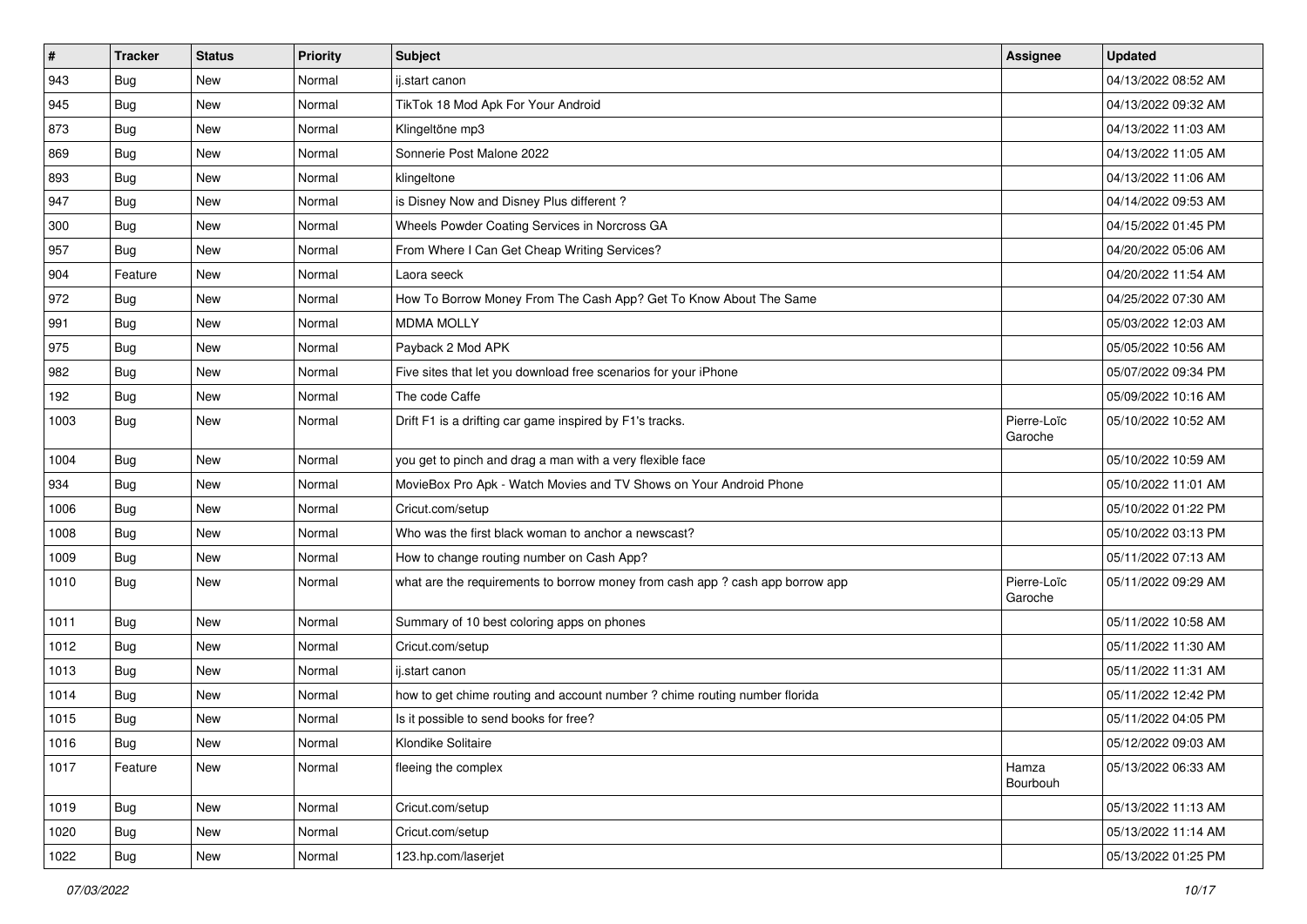| $\sharp$ | <b>Tracker</b> | <b>Status</b> | <b>Priority</b> | <b>Subject</b>                                                                | Assignee               | <b>Updated</b>      |
|----------|----------------|---------------|-----------------|-------------------------------------------------------------------------------|------------------------|---------------------|
| 943      | Bug            | New           | Normal          | ij.start canon                                                                |                        | 04/13/2022 08:52 AM |
| 945      | Bug            | <b>New</b>    | Normal          | TikTok 18 Mod Apk For Your Android                                            |                        | 04/13/2022 09:32 AM |
| 873      | Bug            | New           | Normal          | Klingeltöne mp3                                                               |                        | 04/13/2022 11:03 AM |
| 869      | Bug            | New           | Normal          | Sonnerie Post Malone 2022                                                     |                        | 04/13/2022 11:05 AM |
| 893      | Bug            | <b>New</b>    | Normal          | klingeltone                                                                   |                        | 04/13/2022 11:06 AM |
| 947      | Bug            | New           | Normal          | is Disney Now and Disney Plus different?                                      |                        | 04/14/2022 09:53 AM |
| 300      | Bug            | New           | Normal          | Wheels Powder Coating Services in Norcross GA                                 |                        | 04/15/2022 01:45 PM |
| 957      | <b>Bug</b>     | New           | Normal          | From Where I Can Get Cheap Writing Services?                                  |                        | 04/20/2022 05:06 AM |
| 904      | Feature        | New           | Normal          | Laora seeck                                                                   |                        | 04/20/2022 11:54 AM |
| 972      | <b>Bug</b>     | <b>New</b>    | Normal          | How To Borrow Money From The Cash App? Get To Know About The Same             |                        | 04/25/2022 07:30 AM |
| 991      | <b>Bug</b>     | New           | Normal          | <b>MDMA MOLLY</b>                                                             |                        | 05/03/2022 12:03 AM |
| 975      | <b>Bug</b>     | New           | Normal          | Payback 2 Mod APK                                                             |                        | 05/05/2022 10:56 AM |
| 982      | <b>Bug</b>     | New           | Normal          | Five sites that let you download free scenarios for your iPhone               |                        | 05/07/2022 09:34 PM |
| 192      | <b>Bug</b>     | New           | Normal          | The code Caffe                                                                |                        | 05/09/2022 10:16 AM |
| 1003     | Bug            | <b>New</b>    | Normal          | Drift F1 is a drifting car game inspired by F1's tracks.                      | Pierre-Loïc<br>Garoche | 05/10/2022 10:52 AM |
| 1004     | <b>Bug</b>     | <b>New</b>    | Normal          | you get to pinch and drag a man with a very flexible face                     |                        | 05/10/2022 10:59 AM |
| 934      | Bug            | <b>New</b>    | Normal          | MovieBox Pro Apk - Watch Movies and TV Shows on Your Android Phone            |                        | 05/10/2022 11:01 AM |
| 1006     | <b>Bug</b>     | New           | Normal          | Cricut.com/setup                                                              |                        | 05/10/2022 01:22 PM |
| 1008     | <b>Bug</b>     | New           | Normal          | Who was the first black woman to anchor a newscast?                           |                        | 05/10/2022 03:13 PM |
| 1009     | Bug            | New           | Normal          | How to change routing number on Cash App?                                     |                        | 05/11/2022 07:13 AM |
| 1010     | <b>Bug</b>     | New           | Normal          | what are the requirements to borrow money from cash app ? cash app borrow app | Pierre-Loïc<br>Garoche | 05/11/2022 09:29 AM |
| 1011     | Bug            | <b>New</b>    | Normal          | Summary of 10 best coloring apps on phones                                    |                        | 05/11/2022 10:58 AM |
| 1012     | <b>Bug</b>     | New           | Normal          | Cricut.com/setup                                                              |                        | 05/11/2022 11:30 AM |
| 1013     | Bug            | <b>New</b>    | Normal          | ij.start canon                                                                |                        | 05/11/2022 11:31 AM |
| 1014     | <b>Bug</b>     | New           | Normal          | how to get chime routing and account number? chime routing number florida     |                        | 05/11/2022 12:42 PM |
| 1015     | Bug            | New           | Normal          | Is it possible to send books for free?                                        |                        | 05/11/2022 04:05 PM |
| 1016     | Bug            | <b>New</b>    | Normal          | Klondike Solitaire                                                            |                        | 05/12/2022 09:03 AM |
| 1017     | Feature        | <b>New</b>    | Normal          | fleeing the complex                                                           | Hamza<br>Bourbouh      | 05/13/2022 06:33 AM |
| 1019     | Bug            | <b>New</b>    | Normal          | Cricut.com/setup                                                              |                        | 05/13/2022 11:13 AM |
| 1020     | <b>Bug</b>     | <b>New</b>    | Normal          | Cricut.com/setup                                                              |                        | 05/13/2022 11:14 AM |
| 1022     | <b>Bug</b>     | New           | Normal          | 123.hp.com/laserjet                                                           |                        | 05/13/2022 01:25 PM |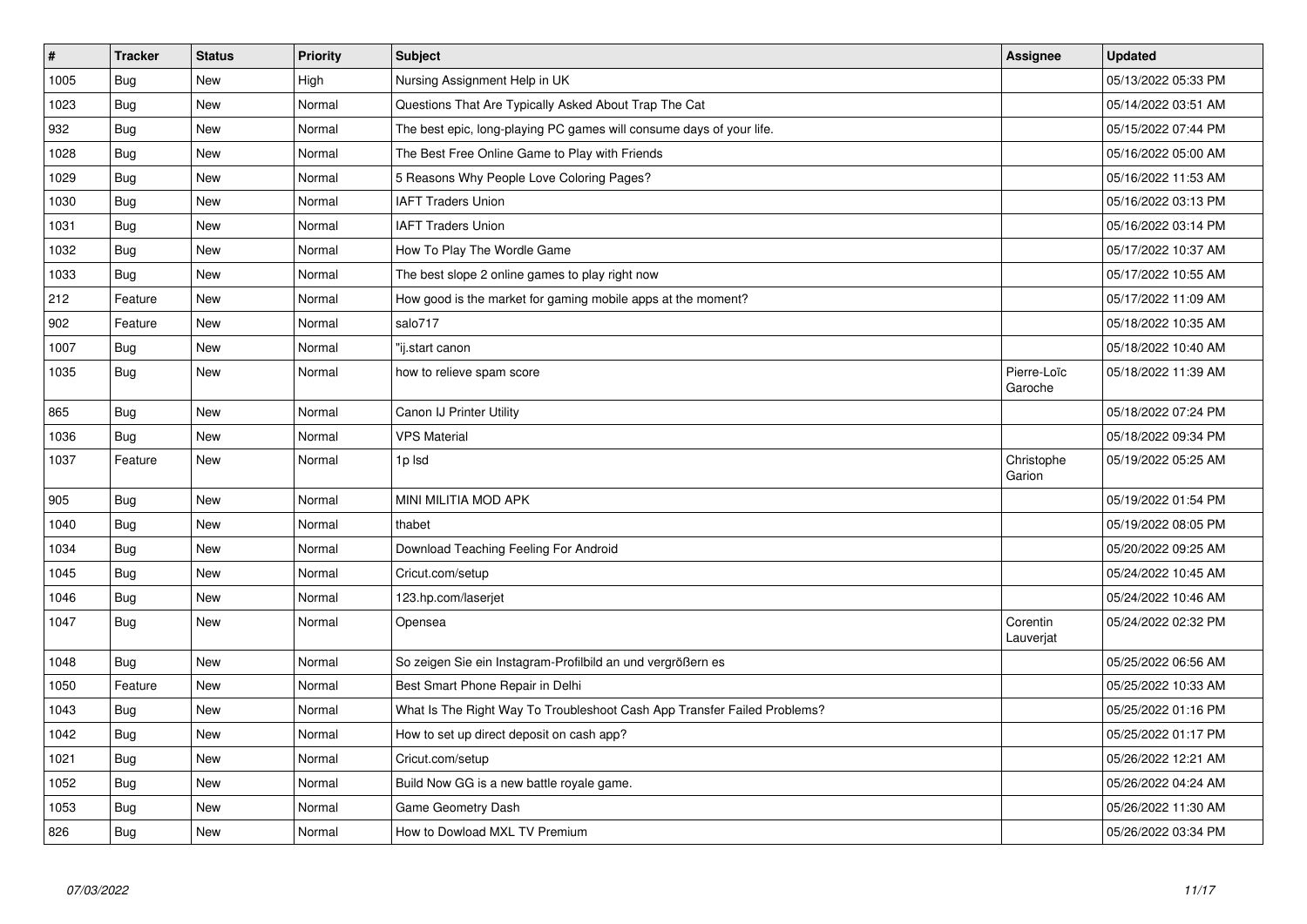| $\vert$ # | <b>Tracker</b> | <b>Status</b> | Priority | <b>Subject</b>                                                           | Assignee               | <b>Updated</b>      |
|-----------|----------------|---------------|----------|--------------------------------------------------------------------------|------------------------|---------------------|
| 1005      | Bug            | New           | High     | Nursing Assignment Help in UK                                            |                        | 05/13/2022 05:33 PM |
| 1023      | Bug            | <b>New</b>    | Normal   | Questions That Are Typically Asked About Trap The Cat                    |                        | 05/14/2022 03:51 AM |
| 932       | Bug            | <b>New</b>    | Normal   | The best epic, long-playing PC games will consume days of your life.     |                        | 05/15/2022 07:44 PM |
| 1028      | <b>Bug</b>     | <b>New</b>    | Normal   | The Best Free Online Game to Play with Friends                           |                        | 05/16/2022 05:00 AM |
| 1029      | Bug            | <b>New</b>    | Normal   | 5 Reasons Why People Love Coloring Pages?                                |                        | 05/16/2022 11:53 AM |
| 1030      | Bug            | <b>New</b>    | Normal   | <b>IAFT Traders Union</b>                                                |                        | 05/16/2022 03:13 PM |
| 1031      | Bug            | <b>New</b>    | Normal   | <b>IAFT Traders Union</b>                                                |                        | 05/16/2022 03:14 PM |
| 1032      | Bug            | <b>New</b>    | Normal   | How To Play The Wordle Game                                              |                        | 05/17/2022 10:37 AM |
| 1033      | <b>Bug</b>     | <b>New</b>    | Normal   | The best slope 2 online games to play right now                          |                        | 05/17/2022 10:55 AM |
| 212       | Feature        | <b>New</b>    | Normal   | How good is the market for gaming mobile apps at the moment?             |                        | 05/17/2022 11:09 AM |
| 902       | Feature        | <b>New</b>    | Normal   | salo717                                                                  |                        | 05/18/2022 10:35 AM |
| 1007      | <b>Bug</b>     | New           | Normal   | "ij.start canon                                                          |                        | 05/18/2022 10:40 AM |
| 1035      | Bug            | <b>New</b>    | Normal   | how to relieve spam score                                                | Pierre-Loïc<br>Garoche | 05/18/2022 11:39 AM |
| 865       | <b>Bug</b>     | <b>New</b>    | Normal   | Canon IJ Printer Utility                                                 |                        | 05/18/2022 07:24 PM |
| 1036      | Bug            | <b>New</b>    | Normal   | <b>VPS Material</b>                                                      |                        | 05/18/2022 09:34 PM |
| 1037      | Feature        | <b>New</b>    | Normal   | 1p Isd                                                                   | Christophe<br>Garion   | 05/19/2022 05:25 AM |
| 905       | <b>Bug</b>     | <b>New</b>    | Normal   | MINI MILITIA MOD APK                                                     |                        | 05/19/2022 01:54 PM |
| 1040      | Bug            | <b>New</b>    | Normal   | thabet                                                                   |                        | 05/19/2022 08:05 PM |
| 1034      | Bug            | <b>New</b>    | Normal   | Download Teaching Feeling For Android                                    |                        | 05/20/2022 09:25 AM |
| 1045      | Bug            | <b>New</b>    | Normal   | Cricut.com/setup                                                         |                        | 05/24/2022 10:45 AM |
| 1046      | <b>Bug</b>     | <b>New</b>    | Normal   | 123.hp.com/laserjet                                                      |                        | 05/24/2022 10:46 AM |
| 1047      | Bug            | New           | Normal   | Opensea                                                                  | Corentin<br>Lauverjat  | 05/24/2022 02:32 PM |
| 1048      | Bug            | <b>New</b>    | Normal   | So zeigen Sie ein Instagram-Profilbild an und vergrößern es              |                        | 05/25/2022 06:56 AM |
| 1050      | Feature        | <b>New</b>    | Normal   | Best Smart Phone Repair in Delhi                                         |                        | 05/25/2022 10:33 AM |
| 1043      | Bug            | <b>New</b>    | Normal   | What Is The Right Way To Troubleshoot Cash App Transfer Failed Problems? |                        | 05/25/2022 01:16 PM |
| 1042      | Bug            | <b>New</b>    | Normal   | How to set up direct deposit on cash app?                                |                        | 05/25/2022 01:17 PM |
| 1021      | <b>Bug</b>     | <b>New</b>    | Normal   | Cricut.com/setup                                                         |                        | 05/26/2022 12:21 AM |
| 1052      | <b>Bug</b>     | <b>New</b>    | Normal   | Build Now GG is a new battle royale game.                                |                        | 05/26/2022 04:24 AM |
| 1053      | Bug            | <b>New</b>    | Normal   | Game Geometry Dash                                                       |                        | 05/26/2022 11:30 AM |
| 826       | Bug            | <b>New</b>    | Normal   | How to Dowload MXL TV Premium                                            |                        | 05/26/2022 03:34 PM |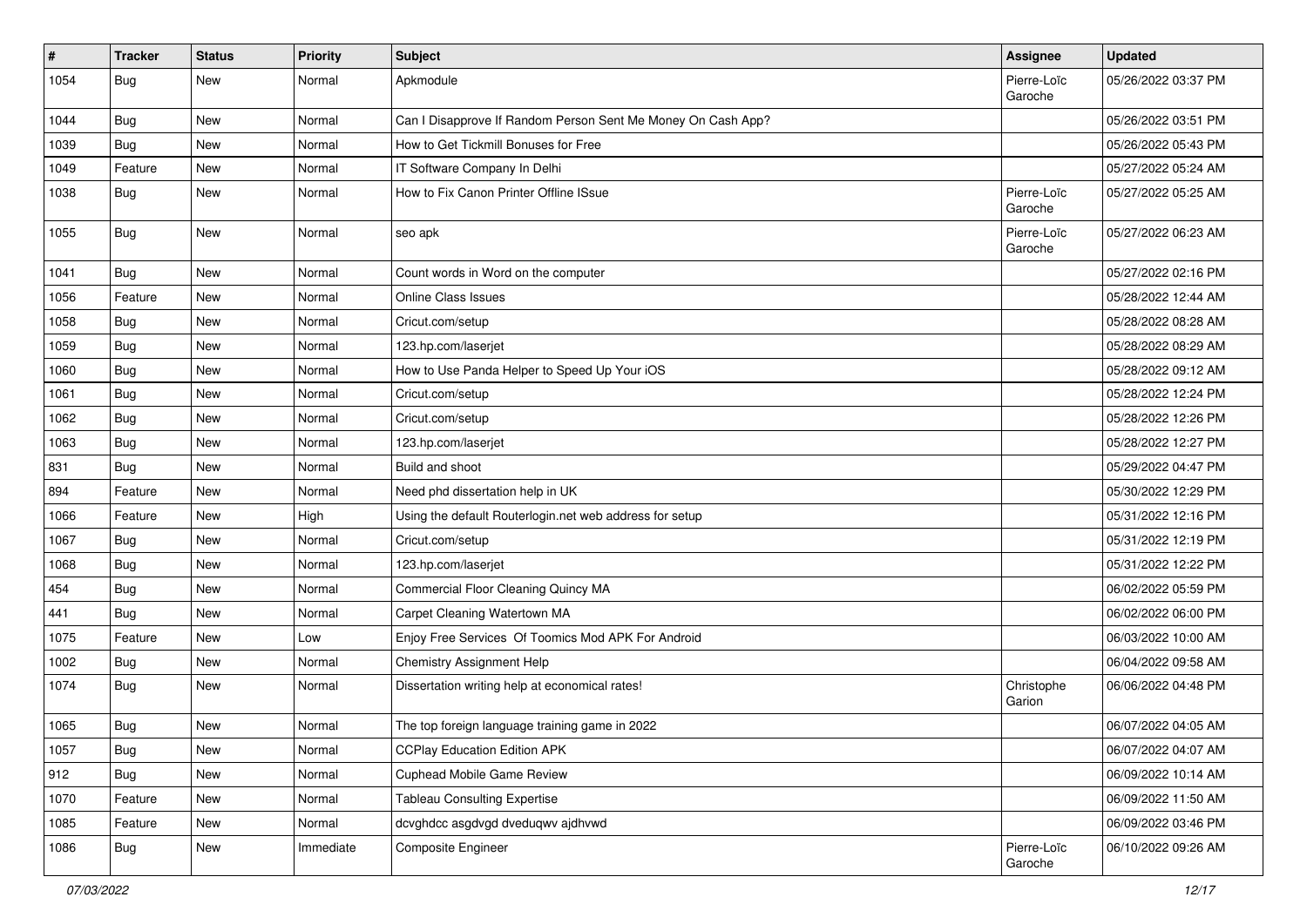| $\sharp$ | <b>Tracker</b> | <b>Status</b> | <b>Priority</b> | <b>Subject</b>                                               | <b>Assignee</b>        | <b>Updated</b>      |
|----------|----------------|---------------|-----------------|--------------------------------------------------------------|------------------------|---------------------|
| 1054     | <b>Bug</b>     | New           | Normal          | Apkmodule                                                    | Pierre-Loïc<br>Garoche | 05/26/2022 03:37 PM |
| 1044     | Bug            | New           | Normal          | Can I Disapprove If Random Person Sent Me Money On Cash App? |                        | 05/26/2022 03:51 PM |
| 1039     | <b>Bug</b>     | New           | Normal          | How to Get Tickmill Bonuses for Free                         |                        | 05/26/2022 05:43 PM |
| 1049     | Feature        | New           | Normal          | IT Software Company In Delhi                                 |                        | 05/27/2022 05:24 AM |
| 1038     | Bug            | New           | Normal          | How to Fix Canon Printer Offline ISsue                       | Pierre-Loïc<br>Garoche | 05/27/2022 05:25 AM |
| 1055     | <b>Bug</b>     | <b>New</b>    | Normal          | seo apk                                                      | Pierre-Loïc<br>Garoche | 05/27/2022 06:23 AM |
| 1041     | <b>Bug</b>     | <b>New</b>    | Normal          | Count words in Word on the computer                          |                        | 05/27/2022 02:16 PM |
| 1056     | Feature        | New           | Normal          | Online Class Issues                                          |                        | 05/28/2022 12:44 AM |
| 1058     | Bug            | New           | Normal          | Cricut.com/setup                                             |                        | 05/28/2022 08:28 AM |
| 1059     | Bug            | New           | Normal          | 123.hp.com/laserjet                                          |                        | 05/28/2022 08:29 AM |
| 1060     | Bug            | <b>New</b>    | Normal          | How to Use Panda Helper to Speed Up Your iOS                 |                        | 05/28/2022 09:12 AM |
| 1061     | Bug            | New           | Normal          | Cricut.com/setup                                             |                        | 05/28/2022 12:24 PM |
| 1062     | Bug            | New           | Normal          | Cricut.com/setup                                             |                        | 05/28/2022 12:26 PM |
| 1063     | Bug            | New           | Normal          | 123.hp.com/laserjet                                          |                        | 05/28/2022 12:27 PM |
| 831      | Bug            | New           | Normal          | Build and shoot                                              |                        | 05/29/2022 04:47 PM |
| 894      | Feature        | New           | Normal          | Need phd dissertation help in UK                             |                        | 05/30/2022 12:29 PM |
| 1066     | Feature        | New           | High            | Using the default Routerlogin.net web address for setup      |                        | 05/31/2022 12:16 PM |
| 1067     | Bug            | <b>New</b>    | Normal          | Cricut.com/setup                                             |                        | 05/31/2022 12:19 PM |
| 1068     | Bug            | New           | Normal          | 123.hp.com/laserjet                                          |                        | 05/31/2022 12:22 PM |
| 454      | <b>Bug</b>     | <b>New</b>    | Normal          | Commercial Floor Cleaning Quincy MA                          |                        | 06/02/2022 05:59 PM |
| 441      | Bug            | New           | Normal          | Carpet Cleaning Watertown MA                                 |                        | 06/02/2022 06:00 PM |
| 1075     | Feature        | <b>New</b>    | Low             | Enjoy Free Services Of Toomics Mod APK For Android           |                        | 06/03/2022 10:00 AM |
| 1002     | Bug            | New           | Normal          | <b>Chemistry Assignment Help</b>                             |                        | 06/04/2022 09:58 AM |
| 1074     | <b>Bug</b>     | New           | Normal          | Dissertation writing help at economical rates!               | Christophe<br>Garion   | 06/06/2022 04:48 PM |
| 1065     | <b>Bug</b>     | <b>New</b>    | Normal          | The top foreign language training game in 2022               |                        | 06/07/2022 04:05 AM |
| 1057     | <b>Bug</b>     | New           | Normal          | <b>CCPlay Education Edition APK</b>                          |                        | 06/07/2022 04:07 AM |
| 912      | Bug            | New           | Normal          | <b>Cuphead Mobile Game Review</b>                            |                        | 06/09/2022 10:14 AM |
| 1070     | Feature        | New           | Normal          | <b>Tableau Consulting Expertise</b>                          |                        | 06/09/2022 11:50 AM |
| 1085     | Feature        | New           | Normal          | dcvghdcc asgdvgd dveduqwv ajdhvwd                            |                        | 06/09/2022 03:46 PM |
| 1086     | <b>Bug</b>     | New           | Immediate       | Composite Engineer                                           | Pierre-Loïc<br>Garoche | 06/10/2022 09:26 AM |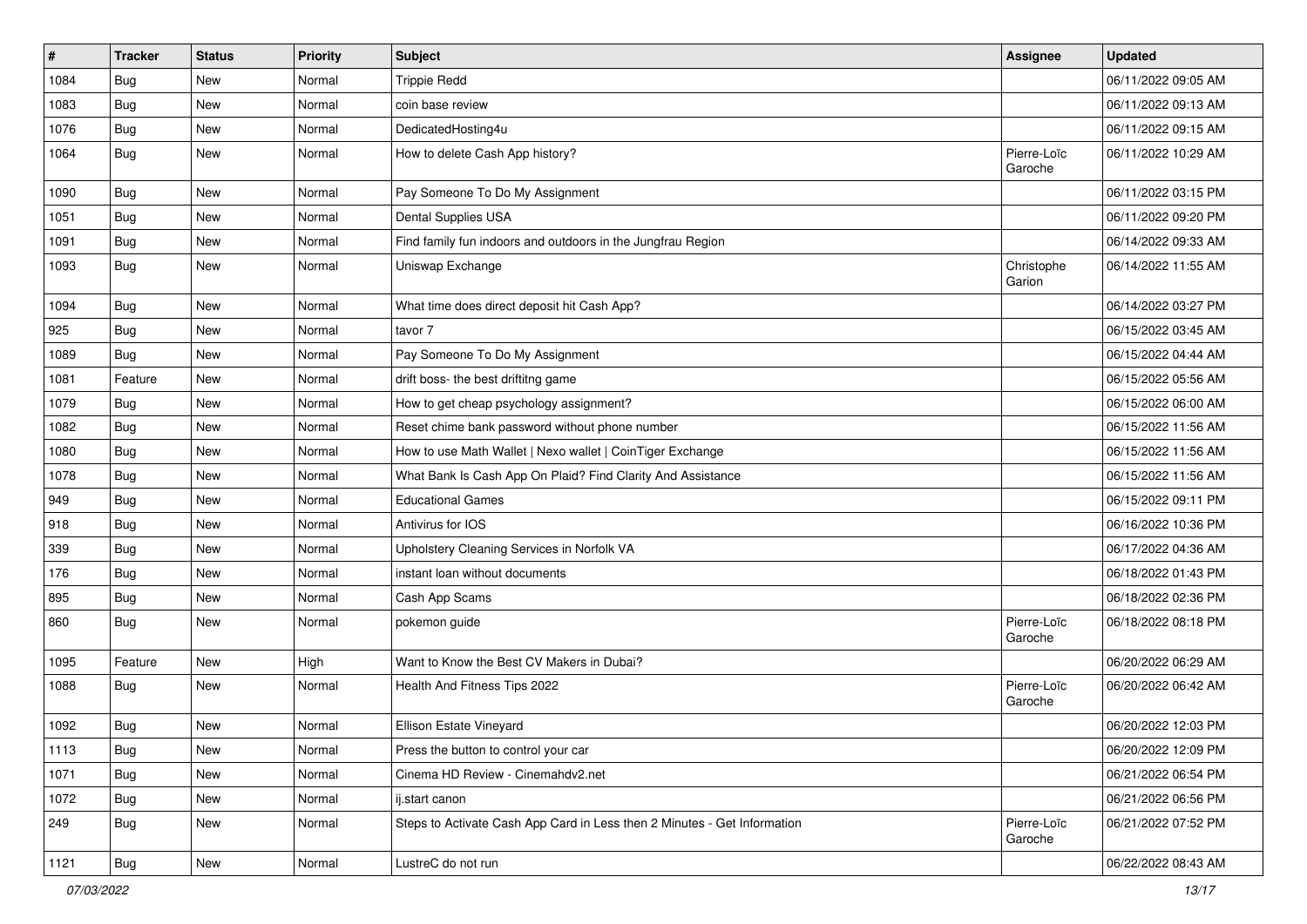| $\vert$ # | <b>Tracker</b> | <b>Status</b> | Priority | <b>Subject</b>                                                           | <b>Assignee</b>        | <b>Updated</b>      |
|-----------|----------------|---------------|----------|--------------------------------------------------------------------------|------------------------|---------------------|
| 1084      | <b>Bug</b>     | New           | Normal   | <b>Trippie Redd</b>                                                      |                        | 06/11/2022 09:05 AM |
| 1083      | <b>Bug</b>     | <b>New</b>    | Normal   | coin base review                                                         |                        | 06/11/2022 09:13 AM |
| 1076      | Bug            | New           | Normal   | DedicatedHosting4u                                                       |                        | 06/11/2022 09:15 AM |
| 1064      | Bug            | New           | Normal   | How to delete Cash App history?                                          | Pierre-Loïc<br>Garoche | 06/11/2022 10:29 AM |
| 1090      | Bug            | New           | Normal   | Pay Someone To Do My Assignment                                          |                        | 06/11/2022 03:15 PM |
| 1051      | <b>Bug</b>     | New           | Normal   | Dental Supplies USA                                                      |                        | 06/11/2022 09:20 PM |
| 1091      | Bug            | New           | Normal   | Find family fun indoors and outdoors in the Jungfrau Region              |                        | 06/14/2022 09:33 AM |
| 1093      | <b>Bug</b>     | New           | Normal   | Uniswap Exchange                                                         | Christophe<br>Garion   | 06/14/2022 11:55 AM |
| 1094      | <b>Bug</b>     | New           | Normal   | What time does direct deposit hit Cash App?                              |                        | 06/14/2022 03:27 PM |
| 925       | <b>Bug</b>     | New           | Normal   | tavor 7                                                                  |                        | 06/15/2022 03:45 AM |
| 1089      | Bug            | New           | Normal   | Pay Someone To Do My Assignment                                          |                        | 06/15/2022 04:44 AM |
| 1081      | Feature        | <b>New</b>    | Normal   | drift boss- the best driftitng game                                      |                        | 06/15/2022 05:56 AM |
| 1079      | <b>Bug</b>     | New           | Normal   | How to get cheap psychology assignment?                                  |                        | 06/15/2022 06:00 AM |
| 1082      | Bug            | <b>New</b>    | Normal   | Reset chime bank password without phone number                           |                        | 06/15/2022 11:56 AM |
| 1080      | Bug            | New           | Normal   | How to use Math Wallet   Nexo wallet   CoinTiger Exchange                |                        | 06/15/2022 11:56 AM |
| 1078      | Bug            | <b>New</b>    | Normal   | What Bank Is Cash App On Plaid? Find Clarity And Assistance              |                        | 06/15/2022 11:56 AM |
| 949       | Bug            | New           | Normal   | <b>Educational Games</b>                                                 |                        | 06/15/2022 09:11 PM |
| 918       | Bug            | New           | Normal   | Antivirus for IOS                                                        |                        | 06/16/2022 10:36 PM |
| 339       | Bug            | New           | Normal   | Upholstery Cleaning Services in Norfolk VA                               |                        | 06/17/2022 04:36 AM |
| 176       | Bug            | New           | Normal   | instant loan without documents                                           |                        | 06/18/2022 01:43 PM |
| 895       | <b>Bug</b>     | <b>New</b>    | Normal   | Cash App Scams                                                           |                        | 06/18/2022 02:36 PM |
| 860       | Bug            | New           | Normal   | pokemon guide                                                            | Pierre-Loïc<br>Garoche | 06/18/2022 08:18 PM |
| 1095      | Feature        | New           | High     | Want to Know the Best CV Makers in Dubai?                                |                        | 06/20/2022 06:29 AM |
| 1088      | Bug            | New           | Normal   | Health And Fitness Tips 2022                                             | Pierre-Loïc<br>Garoche | 06/20/2022 06:42 AM |
| 1092      | <b>Bug</b>     | New           | Normal   | Ellison Estate Vineyard                                                  |                        | 06/20/2022 12:03 PM |
| 1113      | <b>Bug</b>     | New           | Normal   | Press the button to control your car                                     |                        | 06/20/2022 12:09 PM |
| 1071      | Bug            | New           | Normal   | Cinema HD Review - Cinemahdv2.net                                        |                        | 06/21/2022 06:54 PM |
| 1072      | Bug            | New           | Normal   | ij.start canon                                                           |                        | 06/21/2022 06:56 PM |
| 249       | Bug            | New           | Normal   | Steps to Activate Cash App Card in Less then 2 Minutes - Get Information | Pierre-Loïc<br>Garoche | 06/21/2022 07:52 PM |
| 1121      | Bug            | New           | Normal   | LustreC do not run                                                       |                        | 06/22/2022 08:43 AM |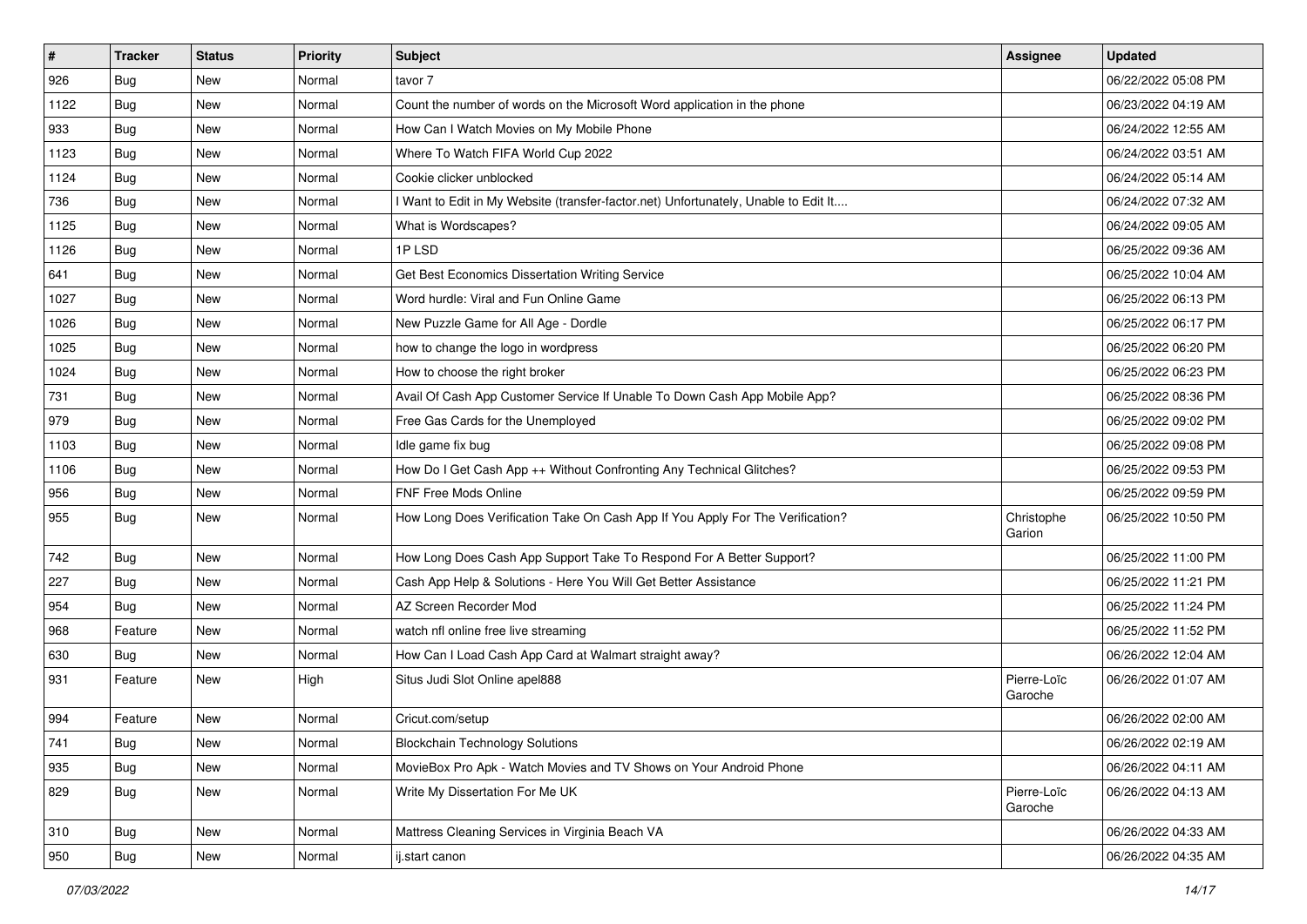| #    | <b>Tracker</b> | <b>Status</b> | <b>Priority</b> | <b>Subject</b>                                                                      | Assignee               | <b>Updated</b>      |
|------|----------------|---------------|-----------------|-------------------------------------------------------------------------------------|------------------------|---------------------|
| 926  | Bug            | New           | Normal          | tavor 7                                                                             |                        | 06/22/2022 05:08 PM |
| 1122 | Bug            | New           | Normal          | Count the number of words on the Microsoft Word application in the phone            |                        | 06/23/2022 04:19 AM |
| 933  | Bug            | New           | Normal          | How Can I Watch Movies on My Mobile Phone                                           |                        | 06/24/2022 12:55 AM |
| 1123 | Bug            | New           | Normal          | Where To Watch FIFA World Cup 2022                                                  |                        | 06/24/2022 03:51 AM |
| 1124 | Bug            | <b>New</b>    | Normal          | Cookie clicker unblocked                                                            |                        | 06/24/2022 05:14 AM |
| 736  | Bug            | New           | Normal          | I Want to Edit in My Website (transfer-factor.net) Unfortunately, Unable to Edit It |                        | 06/24/2022 07:32 AM |
| 1125 | Bug            | <b>New</b>    | Normal          | What is Wordscapes?                                                                 |                        | 06/24/2022 09:05 AM |
| 1126 | Bug            | New           | Normal          | 1PLSD                                                                               |                        | 06/25/2022 09:36 AM |
| 641  | Bug            | New           | Normal          | Get Best Economics Dissertation Writing Service                                     |                        | 06/25/2022 10:04 AM |
| 1027 | Bug            | <b>New</b>    | Normal          | Word hurdle: Viral and Fun Online Game                                              |                        | 06/25/2022 06:13 PM |
| 1026 | Bug            | New           | Normal          | New Puzzle Game for All Age - Dordle                                                |                        | 06/25/2022 06:17 PM |
| 1025 | Bug            | New           | Normal          | how to change the logo in wordpress                                                 |                        | 06/25/2022 06:20 PM |
| 1024 | Bug            | <b>New</b>    | Normal          | How to choose the right broker                                                      |                        | 06/25/2022 06:23 PM |
| 731  | Bug            | New           | Normal          | Avail Of Cash App Customer Service If Unable To Down Cash App Mobile App?           |                        | 06/25/2022 08:36 PM |
| 979  | Bug            | <b>New</b>    | Normal          | Free Gas Cards for the Unemployed                                                   |                        | 06/25/2022 09:02 PM |
| 1103 | Bug            | New           | Normal          | Idle game fix bug                                                                   |                        | 06/25/2022 09:08 PM |
| 1106 | Bug            | New           | Normal          | How Do I Get Cash App ++ Without Confronting Any Technical Glitches?                |                        | 06/25/2022 09:53 PM |
| 956  | Bug            | New           | Normal          | <b>FNF Free Mods Online</b>                                                         |                        | 06/25/2022 09:59 PM |
| 955  | Bug            | New           | Normal          | How Long Does Verification Take On Cash App If You Apply For The Verification?      | Christophe<br>Garion   | 06/25/2022 10:50 PM |
| 742  | Bug            | <b>New</b>    | Normal          | How Long Does Cash App Support Take To Respond For A Better Support?                |                        | 06/25/2022 11:00 PM |
| 227  | Bug            | <b>New</b>    | Normal          | Cash App Help & Solutions - Here You Will Get Better Assistance                     |                        | 06/25/2022 11:21 PM |
| 954  | Bug            | <b>New</b>    | Normal          | AZ Screen Recorder Mod                                                              |                        | 06/25/2022 11:24 PM |
| 968  | Feature        | New           | Normal          | watch nfl online free live streaming                                                |                        | 06/25/2022 11:52 PM |
| 630  | Bug            | New           | Normal          | How Can I Load Cash App Card at Walmart straight away?                              |                        | 06/26/2022 12:04 AM |
| 931  | Feature        | New           | High            | Situs Judi Slot Online apel888                                                      | Pierre-Loïc<br>Garoche | 06/26/2022 01:07 AM |
| 994  | Feature        | <b>New</b>    | Normal          | Cricut.com/setup                                                                    |                        | 06/26/2022 02:00 AM |
| 741  | Bug            | New           | Normal          | <b>Blockchain Technology Solutions</b>                                              |                        | 06/26/2022 02:19 AM |
| 935  | Bug            | New           | Normal          | MovieBox Pro Apk - Watch Movies and TV Shows on Your Android Phone                  |                        | 06/26/2022 04:11 AM |
| 829  | Bug            | New           | Normal          | Write My Dissertation For Me UK                                                     | Pierre-Loïc<br>Garoche | 06/26/2022 04:13 AM |
| 310  | Bug            | New           | Normal          | Mattress Cleaning Services in Virginia Beach VA                                     |                        | 06/26/2022 04:33 AM |
| 950  | <b>Bug</b>     | New           | Normal          | ij.start canon                                                                      |                        | 06/26/2022 04:35 AM |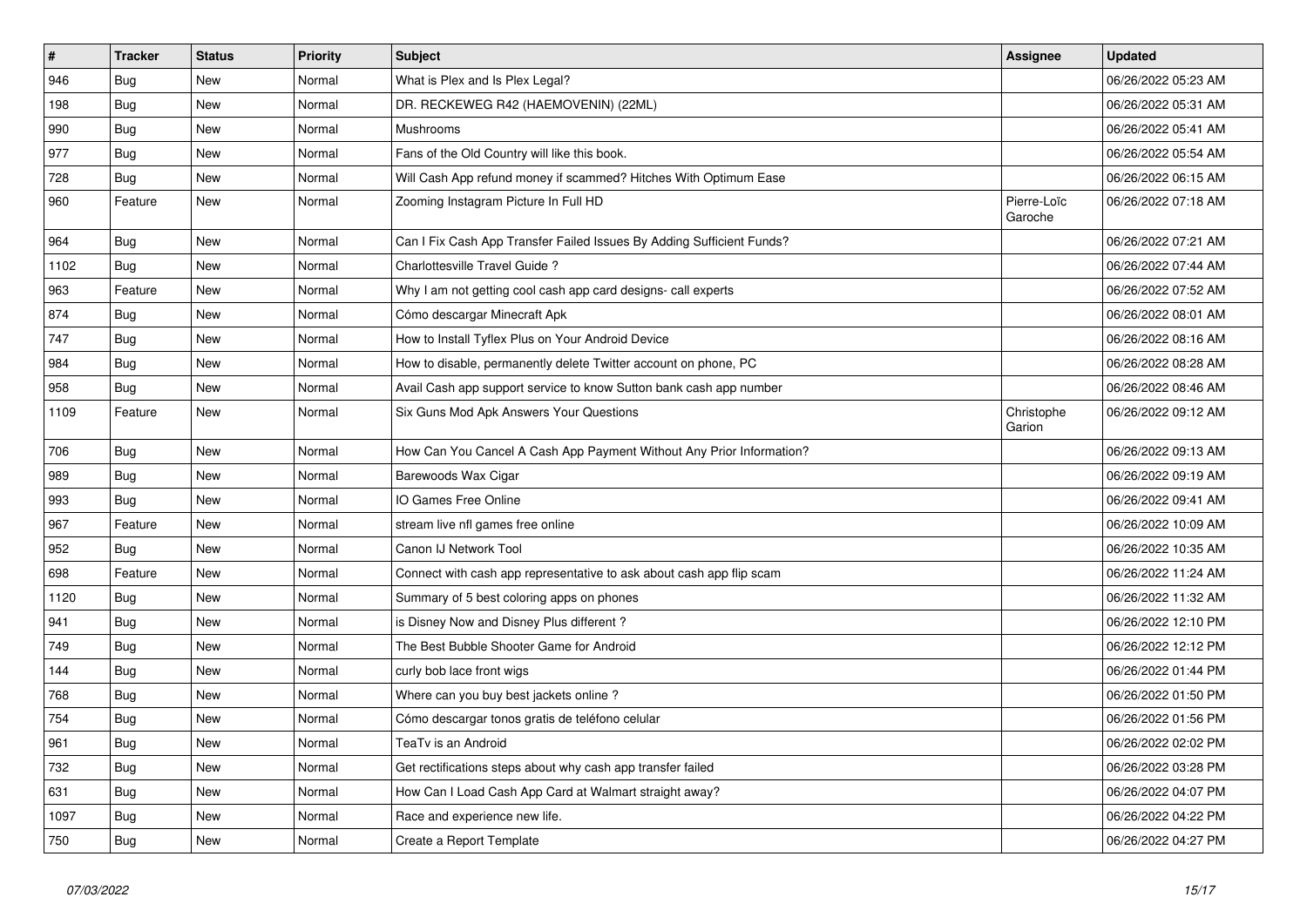| $\pmb{\sharp}$ | <b>Tracker</b> | <b>Status</b> | <b>Priority</b> | <b>Subject</b>                                                        | Assignee               | <b>Updated</b>      |
|----------------|----------------|---------------|-----------------|-----------------------------------------------------------------------|------------------------|---------------------|
| 946            | Bug            | New           | Normal          | What is Plex and Is Plex Legal?                                       |                        | 06/26/2022 05:23 AM |
| 198            | Bug            | <b>New</b>    | Normal          | DR. RECKEWEG R42 (HAEMOVENIN) (22ML)                                  |                        | 06/26/2022 05:31 AM |
| 990            | Bug            | New           | Normal          | Mushrooms                                                             |                        | 06/26/2022 05:41 AM |
| 977            | <b>Bug</b>     | <b>New</b>    | Normal          | Fans of the Old Country will like this book.                          |                        | 06/26/2022 05:54 AM |
| 728            | Bug            | <b>New</b>    | Normal          | Will Cash App refund money if scammed? Hitches With Optimum Ease      |                        | 06/26/2022 06:15 AM |
| 960            | Feature        | New           | Normal          | Zooming Instagram Picture In Full HD                                  | Pierre-Loïc<br>Garoche | 06/26/2022 07:18 AM |
| 964            | <b>Bug</b>     | <b>New</b>    | Normal          | Can I Fix Cash App Transfer Failed Issues By Adding Sufficient Funds? |                        | 06/26/2022 07:21 AM |
| 1102           | <b>Bug</b>     | <b>New</b>    | Normal          | Charlottesville Travel Guide?                                         |                        | 06/26/2022 07:44 AM |
| 963            | Feature        | New           | Normal          | Why I am not getting cool cash app card designs- call experts         |                        | 06/26/2022 07:52 AM |
| 874            | Bug            | New           | Normal          | Cómo descargar Minecraft Apk                                          |                        | 06/26/2022 08:01 AM |
| 747            | Bug            | <b>New</b>    | Normal          | How to Install Tyflex Plus on Your Android Device                     |                        | 06/26/2022 08:16 AM |
| 984            | <b>Bug</b>     | <b>New</b>    | Normal          | How to disable, permanently delete Twitter account on phone, PC       |                        | 06/26/2022 08:28 AM |
| 958            | <b>Bug</b>     | <b>New</b>    | Normal          | Avail Cash app support service to know Sutton bank cash app number    |                        | 06/26/2022 08:46 AM |
| 1109           | Feature        | <b>New</b>    | Normal          | Six Guns Mod Apk Answers Your Questions                               | Christophe<br>Garion   | 06/26/2022 09:12 AM |
| 706            | Bug            | <b>New</b>    | Normal          | How Can You Cancel A Cash App Payment Without Any Prior Information?  |                        | 06/26/2022 09:13 AM |
| 989            | Bug            | New           | Normal          | Barewoods Wax Cigar                                                   |                        | 06/26/2022 09:19 AM |
| 993            | Bug            | New           | Normal          | IO Games Free Online                                                  |                        | 06/26/2022 09:41 AM |
| 967            | Feature        | <b>New</b>    | Normal          | stream live nfl games free online                                     |                        | 06/26/2022 10:09 AM |
| 952            | <b>Bug</b>     | New           | Normal          | Canon IJ Network Tool                                                 |                        | 06/26/2022 10:35 AM |
| 698            | Feature        | New           | Normal          | Connect with cash app representative to ask about cash app flip scam  |                        | 06/26/2022 11:24 AM |
| 1120           | <b>Bug</b>     | New           | Normal          | Summary of 5 best coloring apps on phones                             |                        | 06/26/2022 11:32 AM |
| 941            | <b>Bug</b>     | New           | Normal          | is Disney Now and Disney Plus different?                              |                        | 06/26/2022 12:10 PM |
| 749            | <b>Bug</b>     | New           | Normal          | The Best Bubble Shooter Game for Android                              |                        | 06/26/2022 12:12 PM |
| 144            | Bug            | <b>New</b>    | Normal          | curly bob lace front wigs                                             |                        | 06/26/2022 01:44 PM |
| 768            | Bug            | New           | Normal          | Where can you buy best jackets online?                                |                        | 06/26/2022 01:50 PM |
| 754            | Bug            | New           | Normal          | Cómo descargar tonos gratis de teléfono celular                       |                        | 06/26/2022 01:56 PM |
| 961            | Bug            | New           | Normal          | TeaTv is an Android                                                   |                        | 06/26/2022 02:02 PM |
| 732            | Bug            | New           | Normal          | Get rectifications steps about why cash app transfer failed           |                        | 06/26/2022 03:28 PM |
| 631            | <b>Bug</b>     | <b>New</b>    | Normal          | How Can I Load Cash App Card at Walmart straight away?                |                        | 06/26/2022 04:07 PM |
| 1097           | Bug            | New           | Normal          | Race and experience new life.                                         |                        | 06/26/2022 04:22 PM |
| 750            | <b>Bug</b>     | New           | Normal          | Create a Report Template                                              |                        | 06/26/2022 04:27 PM |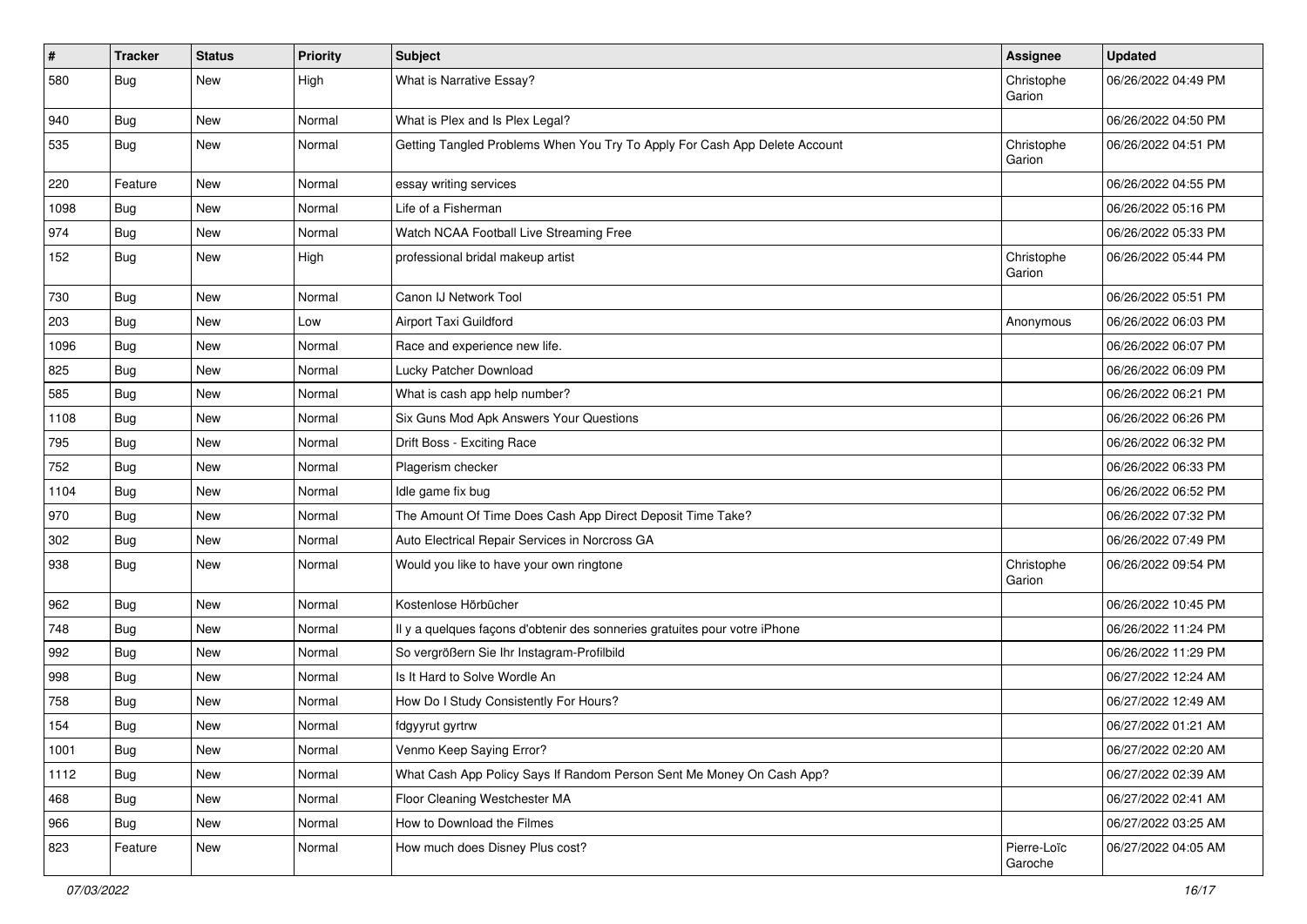| $\vert$ # | <b>Tracker</b> | <b>Status</b> | <b>Priority</b> | <b>Subject</b>                                                             | Assignee               | <b>Updated</b>      |
|-----------|----------------|---------------|-----------------|----------------------------------------------------------------------------|------------------------|---------------------|
| 580       | Bug            | <b>New</b>    | High            | What is Narrative Essay?                                                   | Christophe<br>Garion   | 06/26/2022 04:49 PM |
| 940       | Bug            | <b>New</b>    | Normal          | What is Plex and Is Plex Legal?                                            |                        | 06/26/2022 04:50 PM |
| 535       | Bug            | <b>New</b>    | Normal          | Getting Tangled Problems When You Try To Apply For Cash App Delete Account | Christophe<br>Garion   | 06/26/2022 04:51 PM |
| 220       | Feature        | <b>New</b>    | Normal          | essay writing services                                                     |                        | 06/26/2022 04:55 PM |
| 1098      | Bug            | <b>New</b>    | Normal          | Life of a Fisherman                                                        |                        | 06/26/2022 05:16 PM |
| 974       | Bug            | <b>New</b>    | Normal          | Watch NCAA Football Live Streaming Free                                    |                        | 06/26/2022 05:33 PM |
| 152       | Bug            | <b>New</b>    | High            | professional bridal makeup artist                                          | Christophe<br>Garion   | 06/26/2022 05:44 PM |
| 730       | Bug            | <b>New</b>    | Normal          | Canon IJ Network Tool                                                      |                        | 06/26/2022 05:51 PM |
| 203       | Bug            | <b>New</b>    | Low             | Airport Taxi Guildford                                                     | Anonymous              | 06/26/2022 06:03 PM |
| 1096      | Bug            | <b>New</b>    | Normal          | Race and experience new life.                                              |                        | 06/26/2022 06:07 PM |
| 825       | Bug            | <b>New</b>    | Normal          | Lucky Patcher Download                                                     |                        | 06/26/2022 06:09 PM |
| 585       | <b>Bug</b>     | <b>New</b>    | Normal          | What is cash app help number?                                              |                        | 06/26/2022 06:21 PM |
| 1108      | <b>Bug</b>     | <b>New</b>    | Normal          | Six Guns Mod Apk Answers Your Questions                                    |                        | 06/26/2022 06:26 PM |
| 795       | Bug            | <b>New</b>    | Normal          | Drift Boss - Exciting Race                                                 |                        | 06/26/2022 06:32 PM |
| 752       | Bug            | <b>New</b>    | Normal          | Plagerism checker                                                          |                        | 06/26/2022 06:33 PM |
| 1104      | Bug            | <b>New</b>    | Normal          | Idle game fix bug                                                          |                        | 06/26/2022 06:52 PM |
| 970       | <b>Bug</b>     | <b>New</b>    | Normal          | The Amount Of Time Does Cash App Direct Deposit Time Take?                 |                        | 06/26/2022 07:32 PM |
| 302       | Bug            | <b>New</b>    | Normal          | Auto Electrical Repair Services in Norcross GA                             |                        | 06/26/2022 07:49 PM |
| 938       | Bug            | <b>New</b>    | Normal          | Would you like to have your own ringtone                                   | Christophe<br>Garion   | 06/26/2022 09:54 PM |
| 962       | Bug            | <b>New</b>    | Normal          | Kostenlose Hörbücher                                                       |                        | 06/26/2022 10:45 PM |
| 748       | Bug            | <b>New</b>    | Normal          | Il y a quelques façons d'obtenir des sonneries gratuites pour votre iPhone |                        | 06/26/2022 11:24 PM |
| 992       | Bug            | <b>New</b>    | Normal          | So vergrößern Sie Ihr Instagram-Profilbild                                 |                        | 06/26/2022 11:29 PM |
| 998       | Bug            | <b>New</b>    | Normal          | Is It Hard to Solve Wordle An                                              |                        | 06/27/2022 12:24 AM |
| 758       | <b>Bug</b>     | <b>New</b>    | Normal          | How Do I Study Consistently For Hours?                                     |                        | 06/27/2022 12:49 AM |
| 154       | Bug            | <b>New</b>    | Normal          | fdgyyrut gyrtrw                                                            |                        | 06/27/2022 01:21 AM |
| 1001      | <b>Bug</b>     | New           | Normal          | Venmo Keep Saying Error?                                                   |                        | 06/27/2022 02:20 AM |
| 1112      | Bug            | New           | Normal          | What Cash App Policy Says If Random Person Sent Me Money On Cash App?      |                        | 06/27/2022 02:39 AM |
| 468       | Bug            | New           | Normal          | Floor Cleaning Westchester MA                                              |                        | 06/27/2022 02:41 AM |
| 966       | <b>Bug</b>     | New           | Normal          | How to Download the Filmes                                                 |                        | 06/27/2022 03:25 AM |
| 823       | Feature        | New           | Normal          | How much does Disney Plus cost?                                            | Pierre-Loïc<br>Garoche | 06/27/2022 04:05 AM |